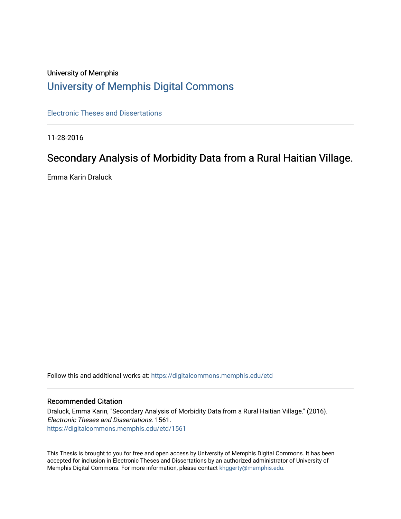# University of Memphis [University of Memphis Digital Commons](https://digitalcommons.memphis.edu/)

[Electronic Theses and Dissertations](https://digitalcommons.memphis.edu/etd)

11-28-2016

# Secondary Analysis of Morbidity Data from a Rural Haitian Village.

Emma Karin Draluck

Follow this and additional works at: [https://digitalcommons.memphis.edu/etd](https://digitalcommons.memphis.edu/etd?utm_source=digitalcommons.memphis.edu%2Fetd%2F1561&utm_medium=PDF&utm_campaign=PDFCoverPages) 

#### Recommended Citation

Draluck, Emma Karin, "Secondary Analysis of Morbidity Data from a Rural Haitian Village." (2016). Electronic Theses and Dissertations. 1561. [https://digitalcommons.memphis.edu/etd/1561](https://digitalcommons.memphis.edu/etd/1561?utm_source=digitalcommons.memphis.edu%2Fetd%2F1561&utm_medium=PDF&utm_campaign=PDFCoverPages) 

This Thesis is brought to you for free and open access by University of Memphis Digital Commons. It has been accepted for inclusion in Electronic Theses and Dissertations by an authorized administrator of University of Memphis Digital Commons. For more information, please contact [khggerty@memphis.edu.](mailto:khggerty@memphis.edu)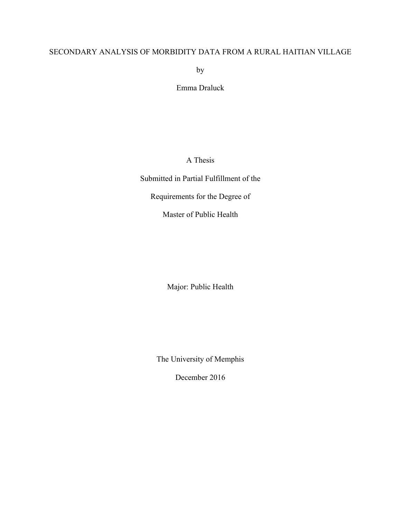# SECONDARY ANALYSIS OF MORBIDITY DATA FROM A RURAL HAITIAN VILLAGE

by

Emma Draluck

A Thesis

Submitted in Partial Fulfillment of the

Requirements for the Degree of

Master of Public Health

Major: Public Health

The University of Memphis

December 2016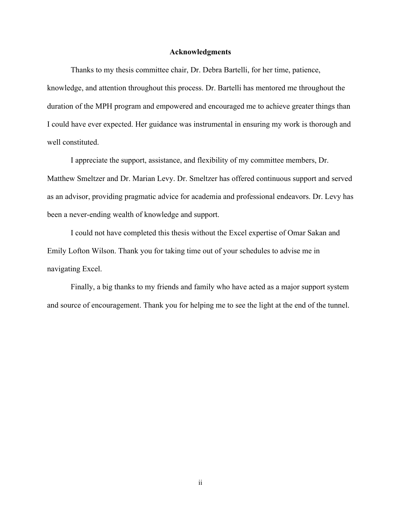#### **Acknowledgments**

Thanks to my thesis committee chair, Dr. Debra Bartelli, for her time, patience, knowledge, and attention throughout this process. Dr. Bartelli has mentored me throughout the duration of the MPH program and empowered and encouraged me to achieve greater things than I could have ever expected. Her guidance was instrumental in ensuring my work is thorough and well constituted.

I appreciate the support, assistance, and flexibility of my committee members, Dr. Matthew Smeltzer and Dr. Marian Levy. Dr. Smeltzer has offered continuous support and served as an advisor, providing pragmatic advice for academia and professional endeavors. Dr. Levy has been a never-ending wealth of knowledge and support.

I could not have completed this thesis without the Excel expertise of Omar Sakan and Emily Lofton Wilson. Thank you for taking time out of your schedules to advise me in navigating Excel.

Finally, a big thanks to my friends and family who have acted as a major support system and source of encouragement. Thank you for helping me to see the light at the end of the tunnel.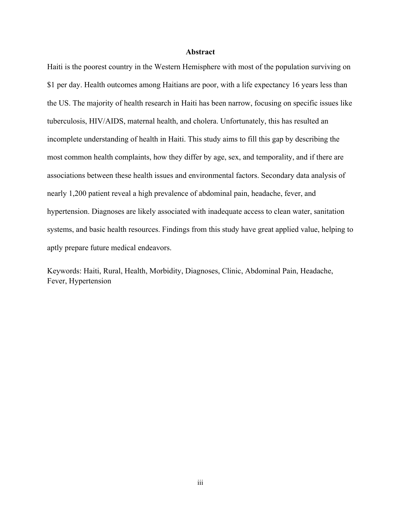#### **Abstract**

Haiti is the poorest country in the Western Hemisphere with most of the population surviving on \$1 per day. Health outcomes among Haitians are poor, with a life expectancy 16 years less than the US. The majority of health research in Haiti has been narrow, focusing on specific issues like tuberculosis, HIV/AIDS, maternal health, and cholera. Unfortunately, this has resulted an incomplete understanding of health in Haiti. This study aims to fill this gap by describing the most common health complaints, how they differ by age, sex, and temporality, and if there are associations between these health issues and environmental factors. Secondary data analysis of nearly 1,200 patient reveal a high prevalence of abdominal pain, headache, fever, and hypertension. Diagnoses are likely associated with inadequate access to clean water, sanitation systems, and basic health resources. Findings from this study have great applied value, helping to aptly prepare future medical endeavors.

Keywords: Haiti, Rural, Health, Morbidity, Diagnoses, Clinic, Abdominal Pain, Headache, Fever, Hypertension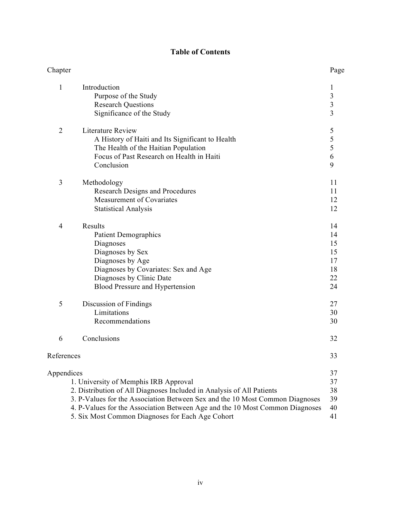# **Table of Contents**

| Chapter        |                                                                                                                                                                                                                                                                                                                                    | Page                                                 |
|----------------|------------------------------------------------------------------------------------------------------------------------------------------------------------------------------------------------------------------------------------------------------------------------------------------------------------------------------------|------------------------------------------------------|
| $\mathbf{1}$   | Introduction<br>Purpose of the Study<br><b>Research Questions</b><br>Significance of the Study                                                                                                                                                                                                                                     | 1<br>$\begin{array}{c} 3 \\ 3 \\ 3 \end{array}$      |
| $\overline{2}$ | <b>Literature Review</b><br>A History of Haiti and Its Significant to Health<br>The Health of the Haitian Population<br>Focus of Past Research on Health in Haiti<br>Conclusion                                                                                                                                                    | 5<br>$\begin{array}{c} 5 \\ 5 \\ 6 \end{array}$<br>9 |
| 3              | Methodology<br>Research Designs and Procedures<br>Measurement of Covariates<br><b>Statistical Analysis</b>                                                                                                                                                                                                                         | 11<br>11<br>12<br>12                                 |
| 4              | Results<br><b>Patient Demographics</b><br>Diagnoses<br>Diagnoses by Sex<br>Diagnoses by Age<br>Diagnoses by Covariates: Sex and Age<br>Diagnoses by Clinic Date<br>Blood Pressure and Hypertension                                                                                                                                 | 14<br>14<br>15<br>15<br>17<br>18<br>22<br>24         |
| 5              | Discussion of Findings<br>Limitations<br>Recommendations                                                                                                                                                                                                                                                                           | 27<br>30<br>30                                       |
| 6              | Conclusions                                                                                                                                                                                                                                                                                                                        | 32                                                   |
| References     |                                                                                                                                                                                                                                                                                                                                    | 33                                                   |
| Appendices     | 1. University of Memphis IRB Approval<br>2. Distribution of All Diagnoses Included in Analysis of All Patients<br>3. P-Values for the Association Between Sex and the 10 Most Common Diagnoses<br>4. P-Values for the Association Between Age and the 10 Most Common Diagnoses<br>5. Six Most Common Diagnoses for Each Age Cohort | 37<br>37<br>38<br>39<br>40<br>41                     |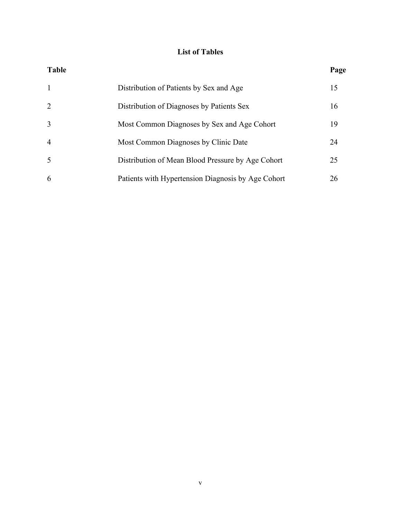# **List of Tables**

| <b>Table</b>   |                                                    | Page |
|----------------|----------------------------------------------------|------|
| -1             | Distribution of Patients by Sex and Age            | 15   |
| 2              | Distribution of Diagnoses by Patients Sex          | 16   |
| 3              | Most Common Diagnoses by Sex and Age Cohort        | 19   |
| $\overline{4}$ | Most Common Diagnoses by Clinic Date               | 24   |
| 5              | Distribution of Mean Blood Pressure by Age Cohort  | 25   |
| 6              | Patients with Hypertension Diagnosis by Age Cohort | 26   |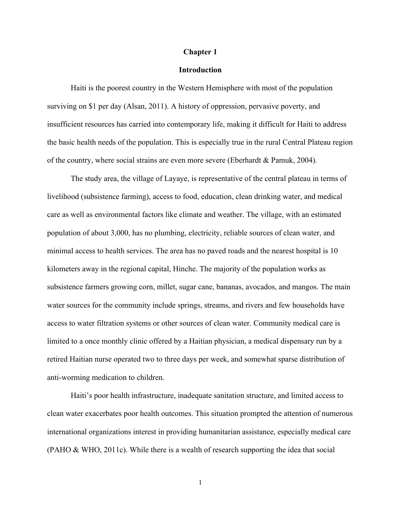#### **Chapter 1**

### **Introduction**

Haiti is the poorest country in the Western Hemisphere with most of the population surviving on \$1 per day (Alsan, 2011). A history of oppression, pervasive poverty, and insufficient resources has carried into contemporary life, making it difficult for Haiti to address the basic health needs of the population. This is especially true in the rural Central Plateau region of the country, where social strains are even more severe (Eberhardt & Pamuk, 2004).

The study area, the village of Layaye, is representative of the central plateau in terms of livelihood (subsistence farming), access to food, education, clean drinking water, and medical care as well as environmental factors like climate and weather. The village, with an estimated population of about 3,000, has no plumbing, electricity, reliable sources of clean water, and minimal access to health services. The area has no paved roads and the nearest hospital is 10 kilometers away in the regional capital, Hinche. The majority of the population works as subsistence farmers growing corn, millet, sugar cane, bananas, avocados, and mangos. The main water sources for the community include springs, streams, and rivers and few households have access to water filtration systems or other sources of clean water. Community medical care is limited to a once monthly clinic offered by a Haitian physician, a medical dispensary run by a retired Haitian nurse operated two to three days per week, and somewhat sparse distribution of anti-worming medication to children.

Haiti's poor health infrastructure, inadequate sanitation structure, and limited access to clean water exacerbates poor health outcomes. This situation prompted the attention of numerous international organizations interest in providing humanitarian assistance, especially medical care (PAHO & WHO, 2011c). While there is a wealth of research supporting the idea that social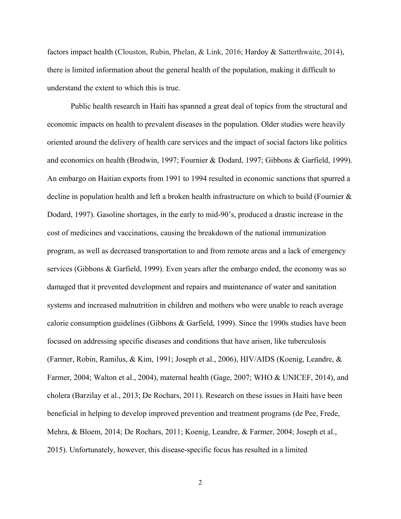factors impact health (Clouston, Rubin, Phelan, & Link, 2016; Hardoy & Satterthwaite, 2014), there is limited information about the general health of the population, making it difficult to understand the extent to which this is true.

Public health research in Haiti has spanned a great deal of topics from the structural and economic impacts on health to prevalent diseases in the population. Older studies were heavily oriented around the delivery of health care services and the impact of social factors like politics and economics on health (Brodwin, 1997; Fournier & Dodard, 1997; Gibbons & Garfield, 1999). An embargo on Haitian exports from 1991 to 1994 resulted in economic sanctions that spurred a decline in population health and left a broken health infrastructure on which to build (Fournier & Dodard, 1997). Gasoline shortages, in the early to mid-90's, produced a drastic increase in the cost of medicines and vaccinations, causing the breakdown of the national immunization program, as well as decreased transportation to and from remote areas and a lack of emergency services (Gibbons & Garfield, 1999). Even years after the embargo ended, the economy was so damaged that it prevented development and repairs and maintenance of water and sanitation systems and increased malnutrition in children and mothers who were unable to reach average calorie consumption guidelines (Gibbons  $\&$  Garfield, 1999). Since the 1990s studies have been focused on addressing specific diseases and conditions that have arisen, like tuberculosis (Farmer, Robin, Ramilus, & Kim, 1991; Joseph et al., 2006), HIV/AIDS (Koenig, Leandre, & Farmer, 2004; Walton et al., 2004), maternal health (Gage, 2007; WHO & UNICEF, 2014), and cholera (Barzilay et al., 2013; De Rochars, 2011). Research on these issues in Haiti have been beneficial in helping to develop improved prevention and treatment programs (de Pee, Frede, Mehra, & Bloem, 2014; De Rochars, 2011; Koenig, Leandre, & Farmer, 2004; Joseph et al., 2015). Unfortunately, however, this disease-specific focus has resulted in a limited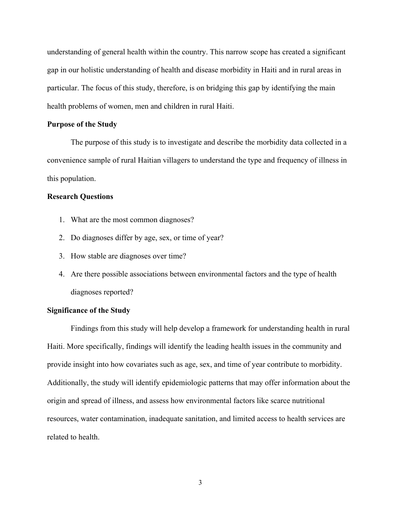understanding of general health within the country. This narrow scope has created a significant gap in our holistic understanding of health and disease morbidity in Haiti and in rural areas in particular. The focus of this study, therefore, is on bridging this gap by identifying the main health problems of women, men and children in rural Haiti.

#### **Purpose of the Study**

The purpose of this study is to investigate and describe the morbidity data collected in a convenience sample of rural Haitian villagers to understand the type and frequency of illness in this population.

#### **Research Questions**

- 1. What are the most common diagnoses?
- 2. Do diagnoses differ by age, sex, or time of year?
- 3. How stable are diagnoses over time?
- 4. Are there possible associations between environmental factors and the type of health diagnoses reported?

#### **Significance of the Study**

Findings from this study will help develop a framework for understanding health in rural Haiti. More specifically, findings will identify the leading health issues in the community and provide insight into how covariates such as age, sex, and time of year contribute to morbidity. Additionally, the study will identify epidemiologic patterns that may offer information about the origin and spread of illness, and assess how environmental factors like scarce nutritional resources, water contamination, inadequate sanitation, and limited access to health services are related to health.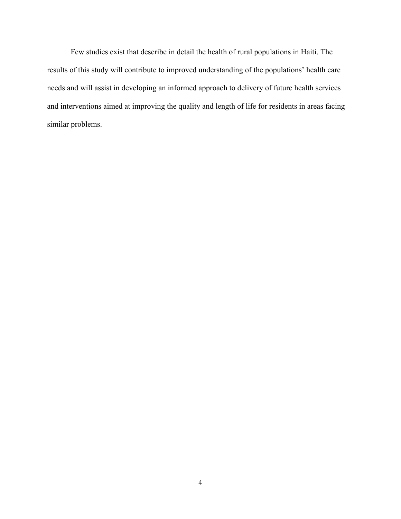Few studies exist that describe in detail the health of rural populations in Haiti. The results of this study will contribute to improved understanding of the populations' health care needs and will assist in developing an informed approach to delivery of future health services and interventions aimed at improving the quality and length of life for residents in areas facing similar problems.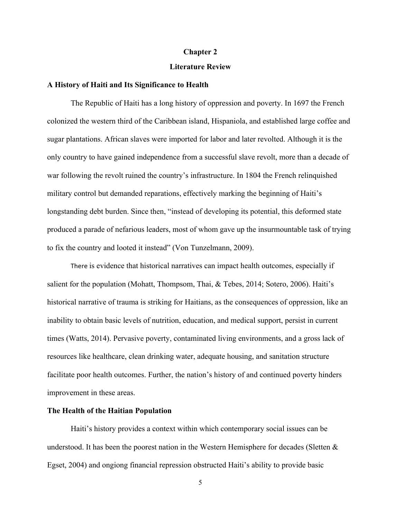#### **Chapter 2**

#### **Literature Review**

#### **A History of Haiti and Its Significance to Health**

The Republic of Haiti has a long history of oppression and poverty. In 1697 the French colonized the western third of the Caribbean island, Hispaniola, and established large coffee and sugar plantations. African slaves were imported for labor and later revolted. Although it is the only country to have gained independence from a successful slave revolt, more than a decade of war following the revolt ruined the country's infrastructure. In 1804 the French relinquished military control but demanded reparations, effectively marking the beginning of Haiti's longstanding debt burden. Since then, "instead of developing its potential, this deformed state produced a parade of nefarious leaders, most of whom gave up the insurmountable task of trying to fix the country and looted it instead" (Von Tunzelmann, 2009).

There is evidence that historical narratives can impact health outcomes, especially if salient for the population (Mohatt, Thompsom, Thai, & Tebes, 2014; Sotero, 2006). Haiti's historical narrative of trauma is striking for Haitians, as the consequences of oppression, like an inability to obtain basic levels of nutrition, education, and medical support, persist in current times (Watts, 2014). Pervasive poverty, contaminated living environments, and a gross lack of resources like healthcare, clean drinking water, adequate housing, and sanitation structure facilitate poor health outcomes. Further, the nation's history of and continued poverty hinders improvement in these areas.

#### **The Health of the Haitian Population**

Haiti's history provides a context within which contemporary social issues can be understood. It has been the poorest nation in the Western Hemisphere for decades (Sletten & Egset, 2004) and ongiong financial repression obstructed Haiti's ability to provide basic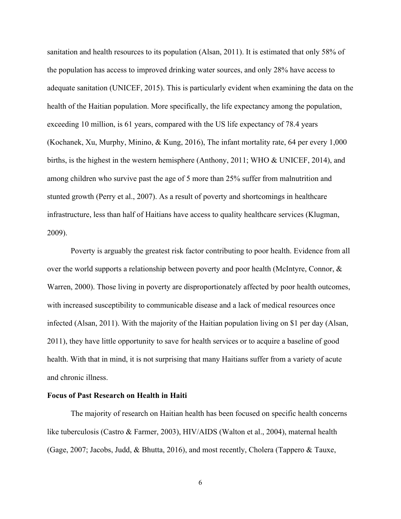sanitation and health resources to its population (Alsan, 2011). It is estimated that only 58% of the population has access to improved drinking water sources, and only 28% have access to adequate sanitation (UNICEF, 2015). This is particularly evident when examining the data on the health of the Haitian population. More specifically, the life expectancy among the population, exceeding 10 million, is 61 years, compared with the US life expectancy of 78.4 years (Kochanek, Xu, Murphy, Minino, & Kung, 2016), The infant mortality rate, 64 per every 1,000 births, is the highest in the western hemisphere (Anthony, 2011; WHO & UNICEF, 2014), and among children who survive past the age of 5 more than 25% suffer from malnutrition and stunted growth (Perry et al., 2007). As a result of poverty and shortcomings in healthcare infrastructure, less than half of Haitians have access to quality healthcare services (Klugman, 2009).

Poverty is arguably the greatest risk factor contributing to poor health. Evidence from all over the world supports a relationship between poverty and poor health (McIntyre, Connor, & Warren, 2000). Those living in poverty are disproportionately affected by poor health outcomes, with increased susceptibility to communicable disease and a lack of medical resources once infected (Alsan, 2011). With the majority of the Haitian population living on \$1 per day (Alsan, 2011), they have little opportunity to save for health services or to acquire a baseline of good health. With that in mind, it is not surprising that many Haitians suffer from a variety of acute and chronic illness.

#### **Focus of Past Research on Health in Haiti**

The majority of research on Haitian health has been focused on specific health concerns like tuberculosis (Castro & Farmer, 2003), HIV/AIDS (Walton et al., 2004), maternal health (Gage, 2007; Jacobs, Judd, & Bhutta, 2016), and most recently, Cholera (Tappero & Tauxe,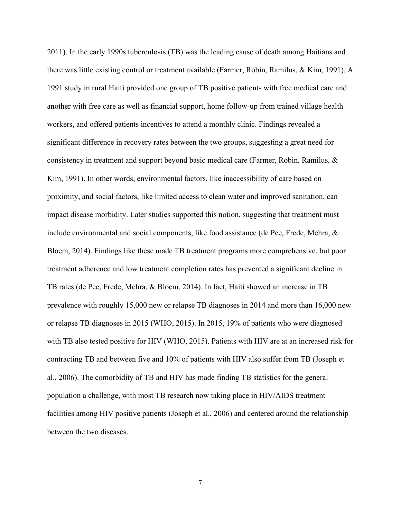2011). In the early 1990s tuberculosis (TB) was the leading cause of death among Haitians and there was little existing control or treatment available (Farmer, Robin, Ramilus, & Kim, 1991). A 1991 study in rural Haiti provided one group of TB positive patients with free medical care and another with free care as well as financial support, home follow-up from trained village health workers, and offered patients incentives to attend a monthly clinic. Findings revealed a significant difference in recovery rates between the two groups, suggesting a great need for consistency in treatment and support beyond basic medical care (Farmer, Robin, Ramilus, & Kim, 1991). In other words, environmental factors, like inaccessibility of care based on proximity, and social factors, like limited access to clean water and improved sanitation, can impact disease morbidity. Later studies supported this notion, suggesting that treatment must include environmental and social components, like food assistance (de Pee, Frede, Mehra, & Bloem, 2014). Findings like these made TB treatment programs more comprehensive, but poor treatment adherence and low treatment completion rates has prevented a significant decline in TB rates (de Pee, Frede, Mehra, & Bloem, 2014). In fact, Haiti showed an increase in TB prevalence with roughly 15,000 new or relapse TB diagnoses in 2014 and more than 16,000 new or relapse TB diagnoses in 2015 (WHO, 2015). In 2015, 19% of patients who were diagnosed with TB also tested positive for HIV (WHO, 2015). Patients with HIV are at an increased risk for contracting TB and between five and 10% of patients with HIV also suffer from TB (Joseph et al., 2006). The comorbidity of TB and HIV has made finding TB statistics for the general population a challenge, with most TB research now taking place in HIV/AIDS treatment facilities among HIV positive patients (Joseph et al., 2006) and centered around the relationship between the two diseases.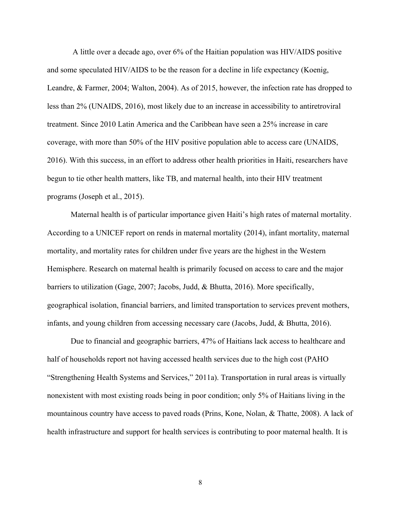A little over a decade ago, over 6% of the Haitian population was HIV/AIDS positive and some speculated HIV/AIDS to be the reason for a decline in life expectancy (Koenig, Leandre, & Farmer, 2004; Walton, 2004). As of 2015, however, the infection rate has dropped to less than 2% (UNAIDS, 2016), most likely due to an increase in accessibility to antiretroviral treatment. Since 2010 Latin America and the Caribbean have seen a 25% increase in care coverage, with more than 50% of the HIV positive population able to access care (UNAIDS, 2016). With this success, in an effort to address other health priorities in Haiti, researchers have begun to tie other health matters, like TB, and maternal health, into their HIV treatment programs (Joseph et al., 2015).

Maternal health is of particular importance given Haiti's high rates of maternal mortality. According to a UNICEF report on rends in maternal mortality (2014), infant mortality, maternal mortality, and mortality rates for children under five years are the highest in the Western Hemisphere. Research on maternal health is primarily focused on access to care and the major barriers to utilization (Gage, 2007; Jacobs, Judd, & Bhutta, 2016). More specifically, geographical isolation, financial barriers, and limited transportation to services prevent mothers, infants, and young children from accessing necessary care (Jacobs, Judd, & Bhutta, 2016).

Due to financial and geographic barriers, 47% of Haitians lack access to healthcare and half of households report not having accessed health services due to the high cost (PAHO "Strengthening Health Systems and Services," 2011a). Transportation in rural areas is virtually nonexistent with most existing roads being in poor condition; only 5% of Haitians living in the mountainous country have access to paved roads (Prins, Kone, Nolan, & Thatte, 2008). A lack of health infrastructure and support for health services is contributing to poor maternal health. It is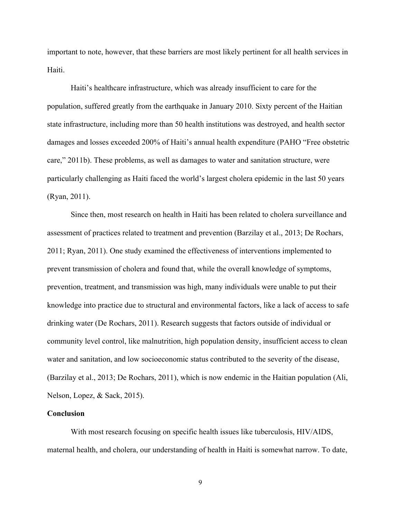important to note, however, that these barriers are most likely pertinent for all health services in Haiti.

Haiti's healthcare infrastructure, which was already insufficient to care for the population, suffered greatly from the earthquake in January 2010. Sixty percent of the Haitian state infrastructure, including more than 50 health institutions was destroyed, and health sector damages and losses exceeded 200% of Haiti's annual health expenditure (PAHO "Free obstetric care," 2011b). These problems, as well as damages to water and sanitation structure, were particularly challenging as Haiti faced the world's largest cholera epidemic in the last 50 years (Ryan, 2011).

Since then, most research on health in Haiti has been related to cholera surveillance and assessment of practices related to treatment and prevention (Barzilay et al., 2013; De Rochars, 2011; Ryan, 2011). One study examined the effectiveness of interventions implemented to prevent transmission of cholera and found that, while the overall knowledge of symptoms, prevention, treatment, and transmission was high, many individuals were unable to put their knowledge into practice due to structural and environmental factors, like a lack of access to safe drinking water (De Rochars, 2011). Research suggests that factors outside of individual or community level control, like malnutrition, high population density, insufficient access to clean water and sanitation, and low socioeconomic status contributed to the severity of the disease, (Barzilay et al., 2013; De Rochars, 2011), which is now endemic in the Haitian population (Ali, Nelson, Lopez, & Sack, 2015).

#### **Conclusion**

With most research focusing on specific health issues like tuberculosis, HIV/AIDS, maternal health, and cholera, our understanding of health in Haiti is somewhat narrow. To date,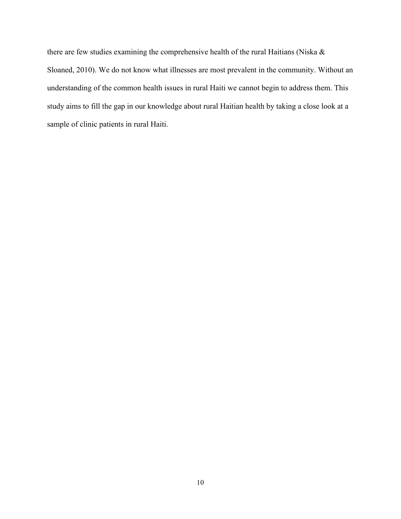there are few studies examining the comprehensive health of the rural Haitians (Niska & Sloaned, 2010). We do not know what illnesses are most prevalent in the community. Without an understanding of the common health issues in rural Haiti we cannot begin to address them. This study aims to fill the gap in our knowledge about rural Haitian health by taking a close look at a sample of clinic patients in rural Haiti.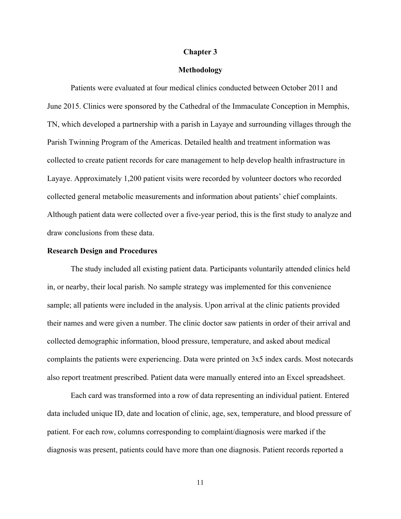#### **Chapter 3**

#### **Methodology**

Patients were evaluated at four medical clinics conducted between October 2011 and June 2015. Clinics were sponsored by the Cathedral of the Immaculate Conception in Memphis, TN, which developed a partnership with a parish in Layaye and surrounding villages through the Parish Twinning Program of the Americas. Detailed health and treatment information was collected to create patient records for care management to help develop health infrastructure in Layaye. Approximately 1,200 patient visits were recorded by volunteer doctors who recorded collected general metabolic measurements and information about patients' chief complaints. Although patient data were collected over a five-year period, this is the first study to analyze and draw conclusions from these data.

#### **Research Design and Procedures**

The study included all existing patient data. Participants voluntarily attended clinics held in, or nearby, their local parish. No sample strategy was implemented for this convenience sample; all patients were included in the analysis. Upon arrival at the clinic patients provided their names and were given a number. The clinic doctor saw patients in order of their arrival and collected demographic information, blood pressure, temperature, and asked about medical complaints the patients were experiencing. Data were printed on 3x5 index cards. Most notecards also report treatment prescribed. Patient data were manually entered into an Excel spreadsheet.

Each card was transformed into a row of data representing an individual patient. Entered data included unique ID, date and location of clinic, age, sex, temperature, and blood pressure of patient. For each row, columns corresponding to complaint/diagnosis were marked if the diagnosis was present, patients could have more than one diagnosis. Patient records reported a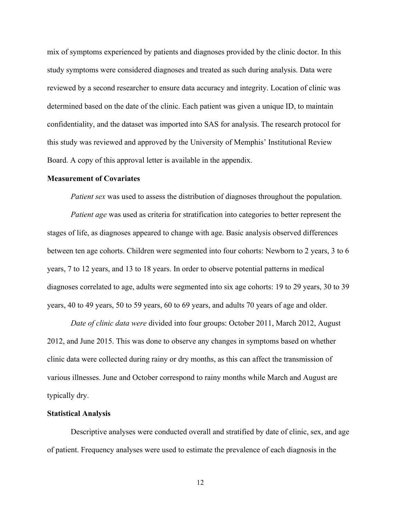mix of symptoms experienced by patients and diagnoses provided by the clinic doctor. In this study symptoms were considered diagnoses and treated as such during analysis. Data were reviewed by a second researcher to ensure data accuracy and integrity. Location of clinic was determined based on the date of the clinic. Each patient was given a unique ID, to maintain confidentiality, and the dataset was imported into SAS for analysis. The research protocol for this study was reviewed and approved by the University of Memphis' Institutional Review Board. A copy of this approval letter is available in the appendix.

#### **Measurement of Covariates**

*Patient sex* was used to assess the distribution of diagnoses throughout the population.

*Patient age* was used as criteria for stratification into categories to better represent the stages of life, as diagnoses appeared to change with age. Basic analysis observed differences between ten age cohorts. Children were segmented into four cohorts: Newborn to 2 years, 3 to 6 years, 7 to 12 years, and 13 to 18 years. In order to observe potential patterns in medical diagnoses correlated to age, adults were segmented into six age cohorts: 19 to 29 years, 30 to 39 years, 40 to 49 years, 50 to 59 years, 60 to 69 years, and adults 70 years of age and older.

*Date of clinic data were* divided into four groups: October 2011, March 2012, August 2012, and June 2015. This was done to observe any changes in symptoms based on whether clinic data were collected during rainy or dry months, as this can affect the transmission of various illnesses. June and October correspond to rainy months while March and August are typically dry.

#### **Statistical Analysis**

Descriptive analyses were conducted overall and stratified by date of clinic, sex, and age of patient. Frequency analyses were used to estimate the prevalence of each diagnosis in the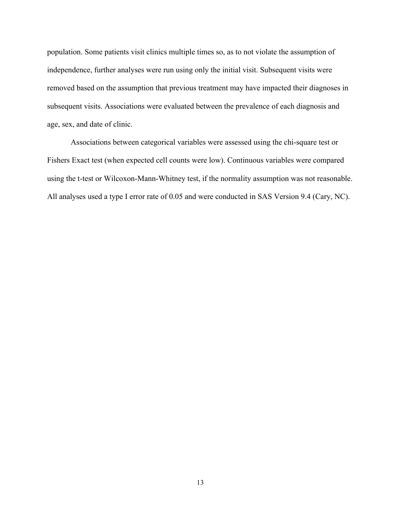population. Some patients visit clinics multiple times so, as to not violate the assumption of independence, further analyses were run using only the initial visit. Subsequent visits were removed based on the assumption that previous treatment may have impacted their diagnoses in subsequent visits. Associations were evaluated between the prevalence of each diagnosis and age, sex, and date of clinic.

Associations between categorical variables were assessed using the chi-square test or Fishers Exact test (when expected cell counts were low). Continuous variables were compared using the t-test or Wilcoxon-Mann-Whitney test, if the normality assumption was not reasonable. All analyses used a type I error rate of 0.05 and were conducted in SAS Version 9.4 (Cary, NC).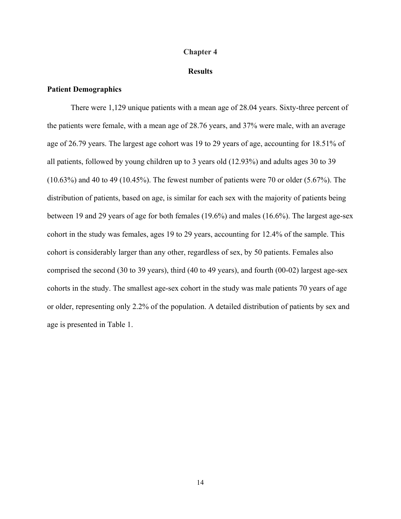#### **Chapter 4**

#### **Results**

### **Patient Demographics**

There were 1,129 unique patients with a mean age of 28.04 years. Sixty-three percent of the patients were female, with a mean age of 28.76 years, and 37% were male, with an average age of 26.79 years. The largest age cohort was 19 to 29 years of age, accounting for 18.51% of all patients, followed by young children up to 3 years old (12.93%) and adults ages 30 to 39 (10.63%) and 40 to 49 (10.45%). The fewest number of patients were 70 or older (5.67%). The distribution of patients, based on age, is similar for each sex with the majority of patients being between 19 and 29 years of age for both females (19.6%) and males (16.6%). The largest age-sex cohort in the study was females, ages 19 to 29 years, accounting for 12.4% of the sample. This cohort is considerably larger than any other, regardless of sex, by 50 patients. Females also comprised the second (30 to 39 years), third (40 to 49 years), and fourth (00-02) largest age-sex cohorts in the study. The smallest age-sex cohort in the study was male patients 70 years of age or older, representing only 2.2% of the population. A detailed distribution of patients by sex and age is presented in Table 1.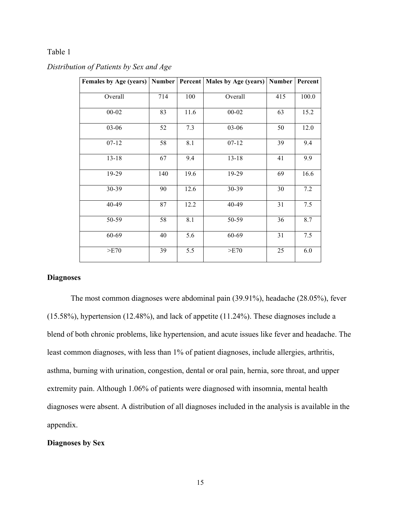## Table 1

| Females by Age (years)   Number   Percent   Males by Age (years)   Number |     |      |           |     | Percent |
|---------------------------------------------------------------------------|-----|------|-----------|-----|---------|
| Overall                                                                   | 714 | 100  | Overall   | 415 | 100.0   |
| $00 - 02$                                                                 | 83  | 11.6 | $00 - 02$ | 63  | 15.2    |
| 03-06                                                                     | 52  | 7.3  | 03-06     | 50  | 12.0    |
| $07 - 12$                                                                 | 58  | 8.1  | $07 - 12$ | 39  | 9.4     |
| $13 - 18$                                                                 | 67  | 9.4  | $13 - 18$ | 41  | 9.9     |
| 19-29                                                                     | 140 | 19.6 | 19-29     | 69  | 16.6    |
| 30-39                                                                     | 90  | 12.6 | 30-39     | 30  | 7.2     |
| 40-49                                                                     | 87  | 12.2 | 40-49     | 31  | 7.5     |
| 50-59                                                                     | 58  | 8.1  | 50-59     | 36  | 8.7     |
| 60-69                                                                     | 40  | 5.6  | 60-69     | 31  | 7.5     |
| >E70                                                                      | 39  | 5.5  | >E70      | 25  | 6.0     |
|                                                                           |     |      |           |     |         |

## *Distribution of Patients by Sex and Age*

## **Diagnoses**

The most common diagnoses were abdominal pain (39.91%), headache (28.05%), fever (15.58%), hypertension (12.48%), and lack of appetite (11.24%). These diagnoses include a blend of both chronic problems, like hypertension, and acute issues like fever and headache. The least common diagnoses, with less than 1% of patient diagnoses, include allergies, arthritis, asthma, burning with urination, congestion, dental or oral pain, hernia, sore throat, and upper extremity pain. Although 1.06% of patients were diagnosed with insomnia, mental health diagnoses were absent. A distribution of all diagnoses included in the analysis is available in the appendix.

#### **Diagnoses by Sex**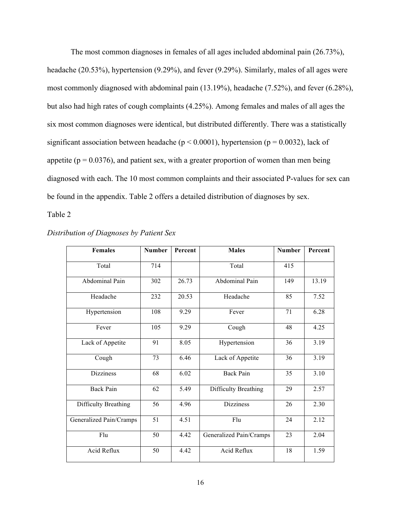The most common diagnoses in females of all ages included abdominal pain (26.73%), headache (20.53%), hypertension (9.29%), and fever (9.29%). Similarly, males of all ages were most commonly diagnosed with abdominal pain (13.19%), headache (7.52%), and fever (6.28%), but also had high rates of cough complaints (4.25%). Among females and males of all ages the six most common diagnoses were identical, but distributed differently. There was a statistically significant association between headache ( $p < 0.0001$ ), hypertension ( $p = 0.0032$ ), lack of appetite ( $p = 0.0376$ ), and patient sex, with a greater proportion of women than men being diagnosed with each. The 10 most common complaints and their associated P-values for sex can be found in the appendix. Table 2 offers a detailed distribution of diagnoses by sex.

Table 2

| <b>Females</b>          | <b>Number</b>   | Percent | <b>Males</b>            | <b>Number</b> | Percent |
|-------------------------|-----------------|---------|-------------------------|---------------|---------|
| Total                   | 714             |         | Total                   | 415           |         |
| Abdominal Pain          | 302             | 26.73   | Abdominal Pain          | 149           | 13.19   |
| Headache                | 232             | 20.53   | Headache                | 85            | 7.52    |
| Hypertension            | 108             | 9.29    | Fever                   | 71            | 6.28    |
| Fever                   | 105             | 9.29    | Cough                   | 48            | 4.25    |
| Lack of Appetite        | 91              | 8.05    | Hypertension            | 36            | 3.19    |
| Cough                   | 73              | 6.46    | Lack of Appetite        | 36            | 3.19    |
| <b>Dizziness</b>        | 68              | 6.02    | <b>Back Pain</b>        | 35            | 3.10    |
| <b>Back Pain</b>        | 62              | 5.49    | Difficulty Breathing    | 29            | 2.57    |
| Difficulty Breathing    | 56              | 4.96    | <b>Dizziness</b>        | 26            | 2.30    |
| Generalized Pain/Cramps | $\overline{51}$ | 4.51    | Flu                     | 24            | 2.12    |
| Flu                     | 50              | 4.42    | Generalized Pain/Cramps | 23            | 2.04    |
| Acid Reflux             | 50              | 4.42    | Acid Reflux             | 18            | 1.59    |

| Distribution of Diagnoses by Patient Sex |  |  |  |  |  |
|------------------------------------------|--|--|--|--|--|
|------------------------------------------|--|--|--|--|--|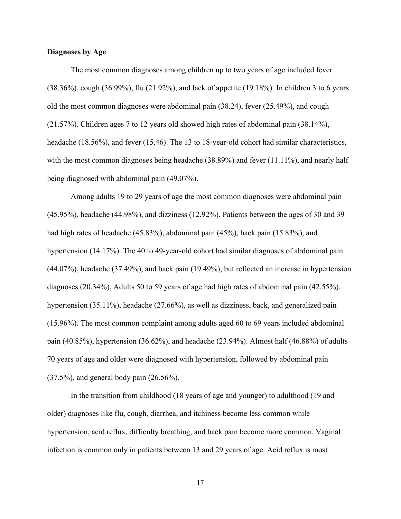#### **Diagnoses by Age**

The most common diagnoses among children up to two years of age included fever (38.36%), cough (36.99%), flu (21.92%), and lack of appetite (19.18%). In children 3 to 6 years old the most common diagnoses were abdominal pain (38.24), fever (25.49%), and cough (21.57%). Children ages 7 to 12 years old showed high rates of abdominal pain (38.14%), headache (18.56%), and fever (15.46). The 13 to 18-year-old cohort had similar characteristics, with the most common diagnoses being headache (38.89%) and fever (11.11%), and nearly half being diagnosed with abdominal pain (49.07%).

Among adults 19 to 29 years of age the most common diagnoses were abdominal pain (45.95%), headache (44.98%), and dizziness (12.92%). Patients between the ages of 30 and 39 had high rates of headache (45.83%), abdominal pain (45%), back pain (15.83%), and hypertension (14.17%). The 40 to 49-year-old cohort had similar diagnoses of abdominal pain (44.07%), headache (37.49%), and back pain (19.49%), but reflected an increase in hypertension diagnoses (20.34%). Adults 50 to 59 years of age had high rates of abdominal pain (42.55%), hypertension (35.11%), headache (27.66%), as well as dizziness, back, and generalized pain (15.96%). The most common complaint among adults aged 60 to 69 years included abdominal pain  $(40.85\%)$ , hypertension  $(36.62\%)$ , and headache  $(23.94\%)$ . Almost half  $(46.88\%)$  of adults 70 years of age and older were diagnosed with hypertension, followed by abdominal pain (37.5%), and general body pain (26.56%).

In the transition from childhood (18 years of age and younger) to adulthood (19 and older) diagnoses like flu, cough, diarrhea, and itchiness become less common while hypertension, acid reflux, difficulty breathing, and back pain become more common. Vaginal infection is common only in patients between 13 and 29 years of age. Acid reflux is most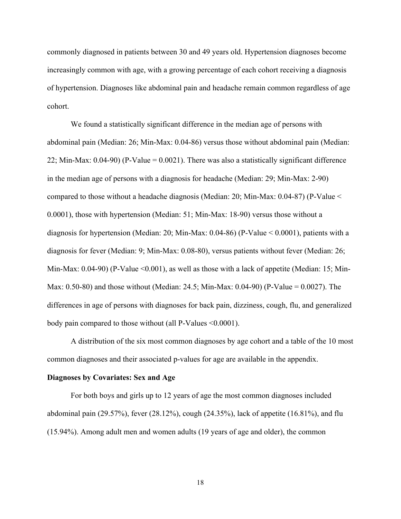commonly diagnosed in patients between 30 and 49 years old. Hypertension diagnoses become increasingly common with age, with a growing percentage of each cohort receiving a diagnosis of hypertension. Diagnoses like abdominal pain and headache remain common regardless of age cohort.

We found a statistically significant difference in the median age of persons with abdominal pain (Median: 26; Min-Max: 0.04-86) versus those without abdominal pain (Median: 22; Min-Max: 0.04-90) (P-Value = 0.0021). There was also a statistically significant difference in the median age of persons with a diagnosis for headache (Median: 29; Min-Max: 2-90) compared to those without a headache diagnosis (Median: 20; Min-Max: 0.04-87) (P-Value < 0.0001), those with hypertension (Median: 51; Min-Max: 18-90) versus those without a diagnosis for hypertension (Median: 20; Min-Max: 0.04-86) (P-Value < 0.0001), patients with a diagnosis for fever (Median: 9; Min-Max: 0.08-80), versus patients without fever (Median: 26; Min-Max: 0.04-90) (P-Value <0.001), as well as those with a lack of appetite (Median: 15; Min-Max: 0.50-80) and those without (Median: 24.5; Min-Max: 0.04-90) (P-Value = 0.0027). The differences in age of persons with diagnoses for back pain, dizziness, cough, flu, and generalized body pain compared to those without (all P-Values <0.0001).

A distribution of the six most common diagnoses by age cohort and a table of the 10 most common diagnoses and their associated p-values for age are available in the appendix.

#### **Diagnoses by Covariates: Sex and Age**

For both boys and girls up to 12 years of age the most common diagnoses included abdominal pain (29.57%), fever (28.12%), cough (24.35%), lack of appetite (16.81%), and flu (15.94%). Among adult men and women adults (19 years of age and older), the common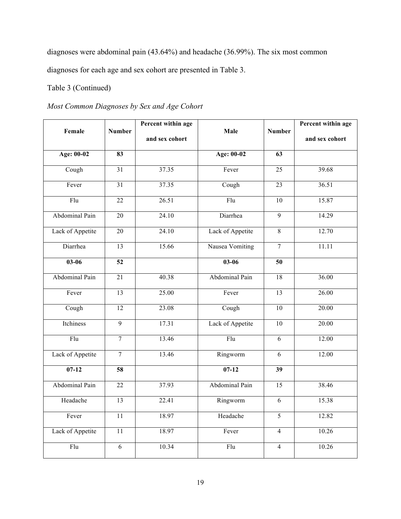diagnoses were abdominal pain (43.64%) and headache (36.99%). The six most common diagnoses for each age and sex cohort are presented in Table 3.

## Table 3 (Continued)

# *Most Common Diagnoses by Sex and Age Cohort*

| Female           | <b>Number</b>   | Percent within age<br>and sex cohort | Male             | <b>Number</b>   | Percent within age<br>and sex cohort |
|------------------|-----------------|--------------------------------------|------------------|-----------------|--------------------------------------|
|                  |                 |                                      |                  |                 |                                      |
| Age: 00-02       | 83              |                                      | Age: 00-02       | 63              |                                      |
| Cough            | 31              | 37.35                                | Fever            | 25              | 39.68                                |
| Fever            | $\overline{31}$ | 37.35                                | Cough            | $\overline{23}$ | 36.51                                |
| $\overline{Flu}$ | $\overline{22}$ | 26.51                                | Flu              | $\overline{10}$ | 15.87                                |
| Abdominal Pain   | 20              | 24.10                                | Diarrhea         | $\overline{9}$  | 14.29                                |
| Lack of Appetite | $\overline{20}$ | 24.10                                | Lack of Appetite | $\overline{8}$  | 12.70                                |
| Diarrhea         | $\overline{13}$ | 15.66                                | Nausea Vomiting  | $\overline{7}$  | 11.11                                |
| $03 - 06$        | $\overline{52}$ |                                      | $03 - 06$        | $\overline{50}$ |                                      |
| Abdominal Pain   | 21              | 40.38                                | Abdominal Pain   | 18              | 36.00                                |
| Fever            | $\overline{13}$ | 25.00                                | Fever            | $\overline{13}$ | 26.00                                |
| Cough            | $\overline{12}$ | 23.08                                | Cough            | $\overline{10}$ | 20.00                                |
| Itchiness        | $\overline{9}$  | 17.31                                | Lack of Appetite | 10              | 20.00                                |
| Flu              | $\overline{7}$  | 13.46                                | Flu              | 6               | 12.00                                |
| Lack of Appetite | $\overline{7}$  | 13.46                                | Ringworm         | $\overline{6}$  | 12.00                                |
| $07-12$          | 58              |                                      | $07-12$          | 39              |                                      |
| Abdominal Pain   | 22              | 37.93                                | Abdominal Pain   | 15              | 38.46                                |
| Headache         | 13              | 22.41                                | Ringworm         | $\overline{6}$  | 15.38                                |
| Fever            | $\overline{11}$ | 18.97                                | Headache         | $\overline{5}$  | 12.82                                |
| Lack of Appetite | 11              | 18.97                                | Fever            | $\overline{4}$  | 10.26                                |
| Flu              | 6               | 10.34                                | Flu              | $\overline{4}$  | 10.26                                |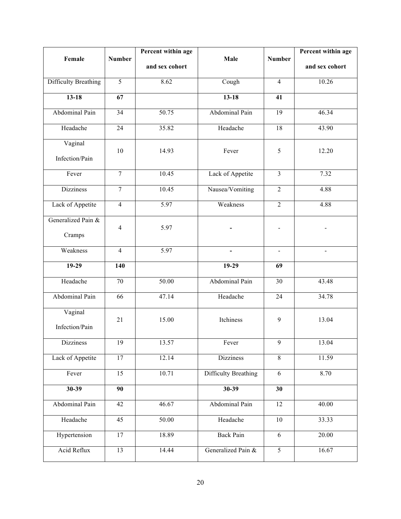| Female                       | <b>Number</b>    | Percent within age | Male                        | <b>Number</b>    | Percent within age |
|------------------------------|------------------|--------------------|-----------------------------|------------------|--------------------|
|                              |                  | and sex cohort     |                             |                  | and sex cohort     |
| <b>Difficulty Breathing</b>  | $\overline{5}$   | 8.62               | Cough                       | $\overline{4}$   | 10.26              |
| $13 - 18$                    | $\overline{67}$  |                    | $13 - 18$                   | 41               |                    |
| Abdominal Pain               | 34               | 50.75              | Abdominal Pain              | 19               | 46.34              |
| Headache                     | 24               | 35.82              | Headache                    | 18               | 43.90              |
| Vaginal<br>Infection/Pain    | 10               | 14.93              | Fever                       | 5                | 12.20              |
| Fever                        | $\overline{7}$   | 10.45              | Lack of Appetite            | $\overline{3}$   | 7.32               |
| <b>Dizziness</b>             | $\boldsymbol{7}$ | 10.45              | Nausea/Vomiting             | $\boldsymbol{2}$ | 4.88               |
| Lack of Appetite             | $\overline{4}$   | 5.97               | Weakness                    | $\overline{2}$   | 4.88               |
| Generalized Pain &<br>Cramps | $\overline{4}$   | 5.97               |                             |                  |                    |
| Weakness                     | 4                | 5.97               |                             |                  |                    |
| $19-29$                      | 140              |                    | $19-29$                     | 69               |                    |
| Headache                     | 70               | 50.00              | Abdominal Pain              | 30               | 43.48              |
| Abdominal Pain               | 66               | 47.14              | Headache                    | 24               | 34.78              |
| Vaginal<br>Infection/Pain    | 21               | 15.00              | Itchiness                   | 9                | 13.04              |
| Dizziness                    | 19               | 13.57              | Fever                       | 9                | 13.04              |
| Lack of Appetite             | 17               | 12.14              | <b>Dizziness</b>            | $8\,$            | 11.59              |
| Fever                        | $\overline{15}$  | 10.71              | <b>Difficulty Breathing</b> | $\overline{6}$   | 8.70               |
| $30-39$                      | 90               |                    | $30-39$                     | $\overline{30}$  |                    |
| Abdominal Pain               | 42               | 46.67              | Abdominal Pain              | 12               | 40.00              |
| Headache                     | 45               | 50.00              | Headache                    | 10               | 33.33              |
| Hypertension                 | 17               | 18.89              | <b>Back Pain</b>            | 6                | 20.00              |
| Acid Reflux                  | 13               | 14.44              | Generalized Pain &          | $\overline{5}$   | 16.67              |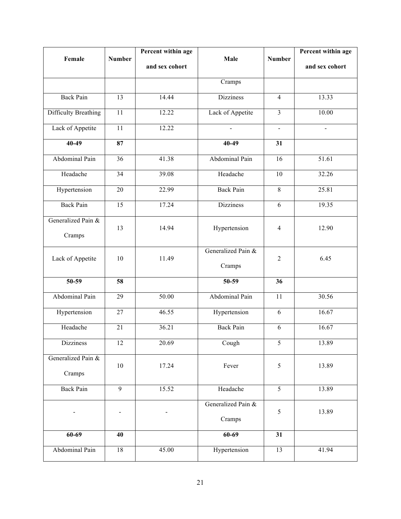| Female                       | <b>Number</b>   | Percent within age | Male                         | <b>Number</b>           | Percent within age |
|------------------------------|-----------------|--------------------|------------------------------|-------------------------|--------------------|
|                              |                 | and sex cohort     |                              |                         | and sex cohort     |
|                              |                 |                    | Cramps                       |                         |                    |
| <b>Back Pain</b>             | $\overline{13}$ | 14.44              | <b>Dizziness</b>             | $\overline{4}$          | 13.33              |
| <b>Difficulty Breathing</b>  | 11              | 12.22              | Lack of Appetite             | $\overline{\mathbf{3}}$ | 10.00              |
| Lack of Appetite             | 11              | 12.22              | $\blacksquare$               | $\blacksquare$          | $\blacksquare$     |
| $40-49$                      | 87              |                    | $40-49$                      | 31                      |                    |
| Abdominal Pain               | 36              | 41.38              | Abdominal Pain               | 16                      | 51.61              |
| Headache                     | 34              | 39.08              | Headache                     | 10                      | 32.26              |
| Hypertension                 | 20              | 22.99              | <b>Back Pain</b>             | $\,8\,$                 | 25.81              |
| <b>Back Pain</b>             | 15              | 17.24              | <b>Dizziness</b>             | 6                       | 19.35              |
| Generalized Pain &<br>Cramps | 13              | 14.94              | Hypertension                 | $\overline{4}$          | 12.90              |
| Lack of Appetite             | 10              | 11.49              | Generalized Pain &<br>Cramps | $\overline{2}$          | 6.45               |
| $50-59$                      | 58              |                    | $50-59$                      | 36                      |                    |
| Abdominal Pain               | 29              | 50.00              | Abdominal Pain               | 11                      | 30.56              |
| Hypertension                 | 27              | 46.55              | Hypertension                 | 6                       | 16.67              |
| Headache                     | 21              | 36.21              | <b>Back Pain</b>             | $\sqrt{6}$              | 16.67              |
| Dizziness                    | 12              | 20.69              | Cough                        | 5                       | 13.89              |
| Generalized Pain &<br>Cramps | $10\,$          | 17.24              | Fever                        | $\sqrt{5}$              | 13.89              |
| <b>Back Pain</b>             | $\overline{9}$  | 15.52              | Headache                     | 5                       | 13.89              |
|                              |                 |                    | Generalized Pain &<br>Cramps | 5                       | 13.89              |
| $60 - 69$                    | 40              |                    | $60-69$                      | 31                      |                    |
| Abdominal Pain               | 18              | 45.00              | Hypertension                 | 13                      | 41.94              |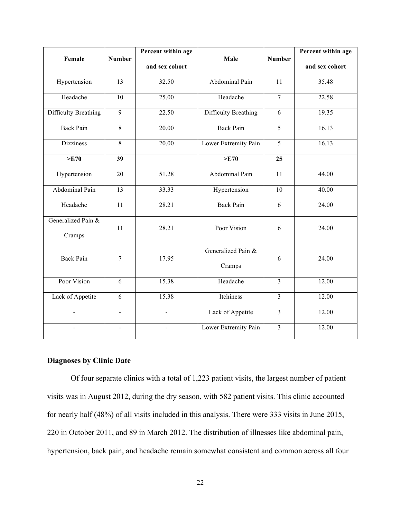| Female                       | <b>Number</b>   | Percent within age | Male                         | <b>Number</b>           | Percent within age |
|------------------------------|-----------------|--------------------|------------------------------|-------------------------|--------------------|
|                              |                 | and sex cohort     |                              |                         | and sex cohort     |
| Hypertension                 | $\overline{13}$ | 32.50              | Abdominal Pain               | $\overline{11}$         | 35.48              |
| Headache                     | 10              | 25.00              | Headache                     | $\overline{7}$          | 22.58              |
| <b>Difficulty Breathing</b>  | $\overline{9}$  | 22.50              | <b>Difficulty Breathing</b>  | 6                       | 19.35              |
| <b>Back Pain</b>             | 8               | 20.00              | <b>Back Pain</b>             | 5                       | 16.13              |
| <b>Dizziness</b>             | 8               | 20.00              | Lower Extremity Pain         | $\overline{5}$          | 16.13              |
| >E70                         | $\overline{39}$ |                    | >E70                         | 25                      |                    |
| Hypertension                 | 20              | 51.28              | Abdominal Pain               | 11                      | 44.00              |
| Abdominal Pain               | $\overline{13}$ | 33.33              | Hypertension                 | 10                      | 40.00              |
| Headache                     | $\overline{11}$ | 28.21              | <b>Back Pain</b>             | 6                       | 24.00              |
| Generalized Pain &<br>Cramps | 11              | 28.21              | Poor Vision                  | 6                       | 24.00              |
| <b>Back Pain</b>             | 7               | 17.95              | Generalized Pain &<br>Cramps | 6                       | 24.00              |
| Poor Vision                  | 6               | 15.38              | Headache                     | $\overline{\mathbf{3}}$ | 12.00              |
| Lack of Appetite             | 6               | 15.38              | Itchiness                    | $\overline{3}$          | 12.00              |
| $\blacksquare$               | $\blacksquare$  | $\blacksquare$     | Lack of Appetite             | $\overline{3}$          | 12.00              |
|                              |                 |                    | Lower Extremity Pain         | $\overline{3}$          | 12.00              |

## **Diagnoses by Clinic Date**

Of four separate clinics with a total of 1,223 patient visits, the largest number of patient visits was in August 2012, during the dry season, with 582 patient visits. This clinic accounted for nearly half (48%) of all visits included in this analysis. There were 333 visits in June 2015, 220 in October 2011, and 89 in March 2012. The distribution of illnesses like abdominal pain, hypertension, back pain, and headache remain somewhat consistent and common across all four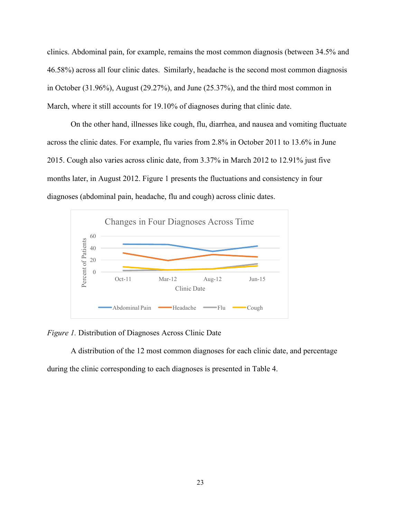clinics. Abdominal pain, for example, remains the most common diagnosis (between 34.5% and 46.58%) across all four clinic dates. Similarly, headache is the second most common diagnosis in October (31.96%), August (29.27%), and June (25.37%), and the third most common in March, where it still accounts for 19.10% of diagnoses during that clinic date.

On the other hand, illnesses like cough, flu, diarrhea, and nausea and vomiting fluctuate across the clinic dates. For example, flu varies from 2.8% in October 2011 to 13.6% in June 2015. Cough also varies across clinic date, from 3.37% in March 2012 to 12.91% just five months later, in August 2012. Figure 1 presents the fluctuations and consistency in four diagnoses (abdominal pain, headache, flu and cough) across clinic dates.



*Figure 1.* Distribution of Diagnoses Across Clinic Date

A distribution of the 12 most common diagnoses for each clinic date, and percentage during the clinic corresponding to each diagnoses is presented in Table 4.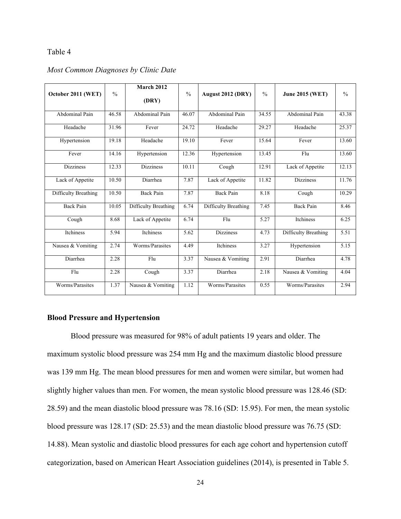### Table 4

| October 2011 (WET)   | $\frac{0}{0}$ | <b>March 2012</b><br>(DRY) | $\frac{0}{0}$ | August 2012 (DRY)    | $\frac{0}{0}$ | <b>June 2015 (WET)</b> | $\frac{0}{0}$ |
|----------------------|---------------|----------------------------|---------------|----------------------|---------------|------------------------|---------------|
| Abdominal Pain       | 46.58         | Abdominal Pain             | 46.07         | Abdominal Pain       | 34.55         | Abdominal Pain         | 43.38         |
|                      |               |                            |               |                      |               |                        |               |
| Headache             | 31.96         | Fever                      | 24.72         | Headache             | 29.27         | Headache               | 25.37         |
| Hypertension         | 19.18         | Headache                   | 19.10         | Fever                | 15.64         | Fever                  | 13.60         |
| Fever                | 14.16         | Hypertension               | 12.36         | Hypertension         | 13.45         | Flu                    | 13.60         |
| <b>Dizziness</b>     | 12.33         | <b>Dizziness</b>           | 10.11         | Cough                | 12.91         | Lack of Appetite       | 12.13         |
| Lack of Appetite     | 10.50         | Diarrhea                   | 7.87          | Lack of Appetite     | 11.82         | <b>Dizziness</b>       | 11.76         |
| Difficulty Breathing | 10.50         | <b>Back Pain</b>           | 7.87          | <b>Back Pain</b>     | 8.18          | Cough                  | 10.29         |
| <b>Back Pain</b>     | 10.05         | Difficulty Breathing       | 6.74          | Difficulty Breathing | 7.45          | <b>Back Pain</b>       | 8.46          |
| Cough                | 8.68          | Lack of Appetite           | 6.74          | Flu                  | 5.27          | Itchiness              | 6.25          |
| Itchiness            | 5.94          | Itchiness                  | 5.62          | <b>Dizziness</b>     | 4.73          | Difficulty Breathing   | 5.51          |
| Nausea & Vomiting    | 2.74          | Worms/Parasites            | 4.49          | Itchiness            | 3.27          | Hypertension           | 5.15          |
| Diarrhea             | 2.28          | F <sub>lu</sub>            | 3.37          | Nausea & Vomiting    | 2.91          | Diarrhea               | 4.78          |
| Flu                  | 2.28          | Cough                      | 3.37          | Diarrhea             | 2.18          | Nausea & Vomiting      | 4.04          |
| Worms/Parasites      | 1.37          | Nausea & Vomiting          | 1.12          | Worms/Parasites      | 0.55          | Worms/Parasites        | 2.94          |

## *Most Common Diagnoses by Clinic Date*

### **Blood Pressure and Hypertension**

Blood pressure was measured for 98% of adult patients 19 years and older. The maximum systolic blood pressure was 254 mm Hg and the maximum diastolic blood pressure was 139 mm Hg. The mean blood pressures for men and women were similar, but women had slightly higher values than men. For women, the mean systolic blood pressure was 128.46 (SD: 28.59) and the mean diastolic blood pressure was 78.16 (SD: 15.95). For men, the mean systolic blood pressure was 128.17 (SD: 25.53) and the mean diastolic blood pressure was 76.75 (SD: 14.88). Mean systolic and diastolic blood pressures for each age cohort and hypertension cutoff categorization, based on American Heart Association guidelines (2014), is presented in Table 5.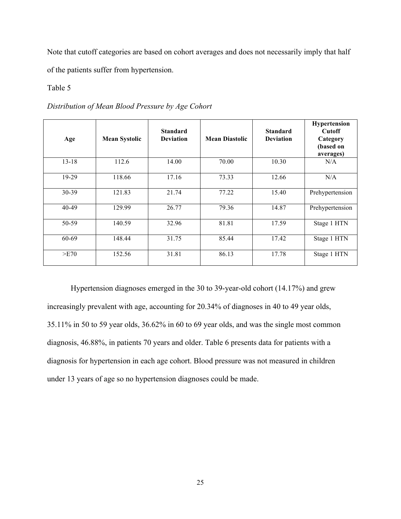Note that cutoff categories are based on cohort averages and does not necessarily imply that half of the patients suffer from hypertension.

### Table 5

*Distribution of Mean Blood Pressure by Age Cohort*

| Age       | <b>Mean Systolic</b> | <b>Standard</b><br><b>Deviation</b> | <b>Mean Diastolic</b> | <b>Standard</b><br><b>Deviation</b> | Hypertension<br><b>Cutoff</b><br>Category<br>(based on<br>averages) |
|-----------|----------------------|-------------------------------------|-----------------------|-------------------------------------|---------------------------------------------------------------------|
| $13 - 18$ | 112.6                | 14.00                               | 70.00                 | 10.30                               | N/A                                                                 |
| 19-29     | 118.66               | 17.16                               | 73.33                 | 12.66                               | N/A                                                                 |
| 30-39     | 121.83               | 21.74                               | 77.22                 | 15.40                               | Prehypertension                                                     |
| 40-49     | 129.99               | 26.77                               | 79.36                 | 14.87                               | Prehypertension                                                     |
| 50-59     | 140.59               | 32.96                               | 81.81                 | 17.59                               | Stage 1 HTN                                                         |
| 60-69     | 148.44               | 31.75                               | 85.44                 | 17.42                               | Stage 1 HTN                                                         |
| >E70      | 152.56               | 31.81                               | 86.13                 | 17.78                               | Stage 1 HTN                                                         |

Hypertension diagnoses emerged in the 30 to 39-year-old cohort (14.17%) and grew increasingly prevalent with age, accounting for 20.34% of diagnoses in 40 to 49 year olds, 35.11% in 50 to 59 year olds, 36.62% in 60 to 69 year olds, and was the single most common diagnosis, 46.88%, in patients 70 years and older. Table 6 presents data for patients with a diagnosis for hypertension in each age cohort. Blood pressure was not measured in children under 13 years of age so no hypertension diagnoses could be made.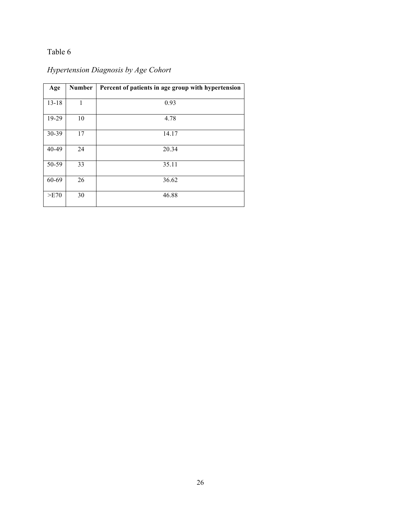## Table 6

# *Hypertension Diagnosis by Age Cohort*

| Age       | <b>Number</b> | Percent of patients in age group with hypertension |
|-----------|---------------|----------------------------------------------------|
| $13 - 18$ | 1             | 0.93                                               |
| 19-29     | 10            | 4.78                                               |
| 30-39     | 17            | 14.17                                              |
| 40-49     | 24            | 20.34                                              |
| 50-59     | 33            | 35.11                                              |
| 60-69     | 26            | 36.62                                              |
| >E70      | 30            | 46.88                                              |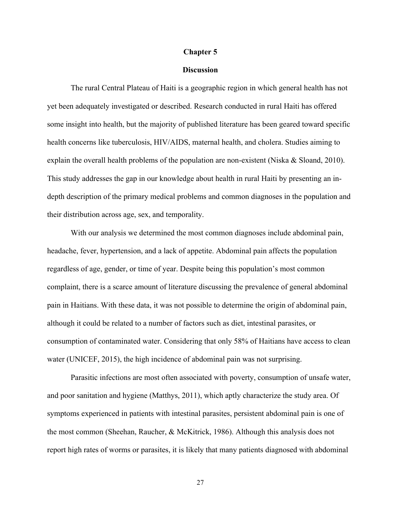#### **Chapter 5**

#### **Discussion**

The rural Central Plateau of Haiti is a geographic region in which general health has not yet been adequately investigated or described. Research conducted in rural Haiti has offered some insight into health, but the majority of published literature has been geared toward specific health concerns like tuberculosis, HIV/AIDS, maternal health, and cholera. Studies aiming to explain the overall health problems of the population are non-existent (Niska & Sloand, 2010). This study addresses the gap in our knowledge about health in rural Haiti by presenting an indepth description of the primary medical problems and common diagnoses in the population and their distribution across age, sex, and temporality.

With our analysis we determined the most common diagnoses include abdominal pain, headache, fever, hypertension, and a lack of appetite. Abdominal pain affects the population regardless of age, gender, or time of year. Despite being this population's most common complaint, there is a scarce amount of literature discussing the prevalence of general abdominal pain in Haitians. With these data, it was not possible to determine the origin of abdominal pain, although it could be related to a number of factors such as diet, intestinal parasites, or consumption of contaminated water. Considering that only 58% of Haitians have access to clean water (UNICEF, 2015), the high incidence of abdominal pain was not surprising.

Parasitic infections are most often associated with poverty, consumption of unsafe water, and poor sanitation and hygiene (Matthys, 2011), which aptly characterize the study area. Of symptoms experienced in patients with intestinal parasites, persistent abdominal pain is one of the most common (Sheehan, Raucher, & McKitrick, 1986). Although this analysis does not report high rates of worms or parasites, it is likely that many patients diagnosed with abdominal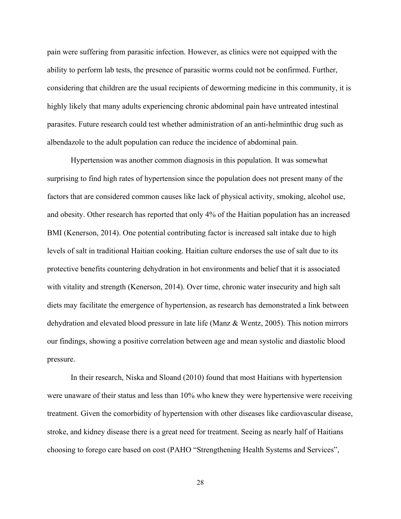pain were suffering from parasitic infection. However, as clinics were not equipped with the ability to perform lab tests, the presence of parasitic worms could not be confirmed. Further, considering that children are the usual recipients of deworming medicine in this community, it is highly likely that many adults experiencing chronic abdominal pain have untreated intestinal parasites. Future research could test whether administration of an anti-helminthic drug such as albendazole to the adult population can reduce the incidence of abdominal pain.

Hypertension was another common diagnosis in this population. It was somewhat surprising to find high rates of hypertension since the population does not present many of the factors that are considered common causes like lack of physical activity, smoking, alcohol use, and obesity. Other research has reported that only 4% of the Haitian population has an increased BMI (Kenerson, 2014). One potential contributing factor is increased salt intake due to high levels of salt in traditional Haitian cooking. Haitian culture endorses the use of salt due to its protective benefits countering dehydration in hot environments and belief that it is associated with vitality and strength (Kenerson, 2014). Over time, chronic water insecurity and high salt diets may facilitate the emergence of hypertension, as research has demonstrated a link between dehydration and elevated blood pressure in late life (Manz & Wentz, 2005). This notion mirrors our findings, showing a positive correlation between age and mean systolic and diastolic blood pressure.

In their research, Niska and Sloand (2010) found that most Haitians with hypertension were unaware of their status and less than 10% who knew they were hypertensive were receiving treatment. Given the comorbidity of hypertension with other diseases like cardiovascular disease, stroke, and kidney disease there is a great need for treatment. Seeing as nearly half of Haitians choosing to forego care based on cost (PAHO "Strengthening Health Systems and Services",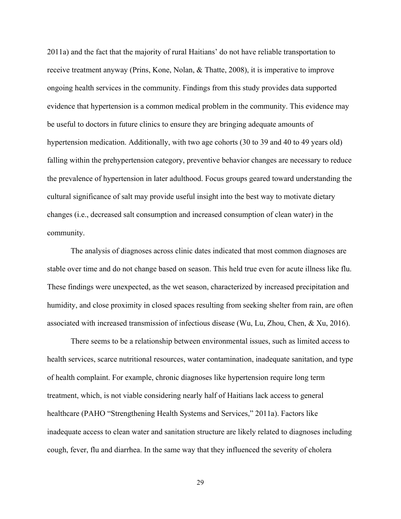2011a) and the fact that the majority of rural Haitians' do not have reliable transportation to receive treatment anyway (Prins, Kone, Nolan, & Thatte, 2008), it is imperative to improve ongoing health services in the community. Findings from this study provides data supported evidence that hypertension is a common medical problem in the community. This evidence may be useful to doctors in future clinics to ensure they are bringing adequate amounts of hypertension medication. Additionally, with two age cohorts (30 to 39 and 40 to 49 years old) falling within the prehypertension category, preventive behavior changes are necessary to reduce the prevalence of hypertension in later adulthood. Focus groups geared toward understanding the cultural significance of salt may provide useful insight into the best way to motivate dietary changes (i.e., decreased salt consumption and increased consumption of clean water) in the community.

The analysis of diagnoses across clinic dates indicated that most common diagnoses are stable over time and do not change based on season. This held true even for acute illness like flu. These findings were unexpected, as the wet season, characterized by increased precipitation and humidity, and close proximity in closed spaces resulting from seeking shelter from rain, are often associated with increased transmission of infectious disease (Wu, Lu, Zhou, Chen, & Xu, 2016).

There seems to be a relationship between environmental issues, such as limited access to health services, scarce nutritional resources, water contamination, inadequate sanitation, and type of health complaint. For example, chronic diagnoses like hypertension require long term treatment, which, is not viable considering nearly half of Haitians lack access to general healthcare (PAHO "Strengthening Health Systems and Services," 2011a). Factors like inadequate access to clean water and sanitation structure are likely related to diagnoses including cough, fever, flu and diarrhea. In the same way that they influenced the severity of cholera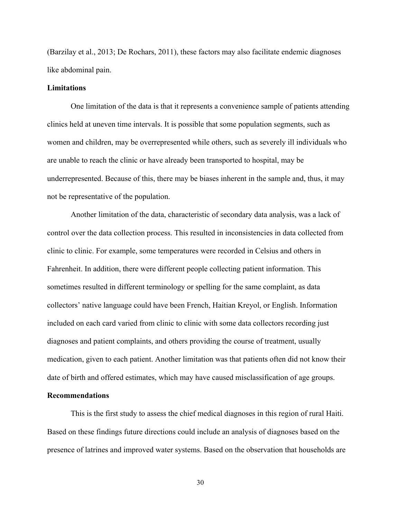(Barzilay et al., 2013; De Rochars, 2011), these factors may also facilitate endemic diagnoses like abdominal pain.

#### **Limitations**

One limitation of the data is that it represents a convenience sample of patients attending clinics held at uneven time intervals. It is possible that some population segments, such as women and children, may be overrepresented while others, such as severely ill individuals who are unable to reach the clinic or have already been transported to hospital, may be underrepresented. Because of this, there may be biases inherent in the sample and, thus, it may not be representative of the population.

Another limitation of the data, characteristic of secondary data analysis, was a lack of control over the data collection process. This resulted in inconsistencies in data collected from clinic to clinic. For example, some temperatures were recorded in Celsius and others in Fahrenheit. In addition, there were different people collecting patient information. This sometimes resulted in different terminology or spelling for the same complaint, as data collectors' native language could have been French, Haitian Kreyol, or English. Information included on each card varied from clinic to clinic with some data collectors recording just diagnoses and patient complaints, and others providing the course of treatment, usually medication, given to each patient. Another limitation was that patients often did not know their date of birth and offered estimates, which may have caused misclassification of age groups.

### **Recommendations**

This is the first study to assess the chief medical diagnoses in this region of rural Haiti. Based on these findings future directions could include an analysis of diagnoses based on the presence of latrines and improved water systems. Based on the observation that households are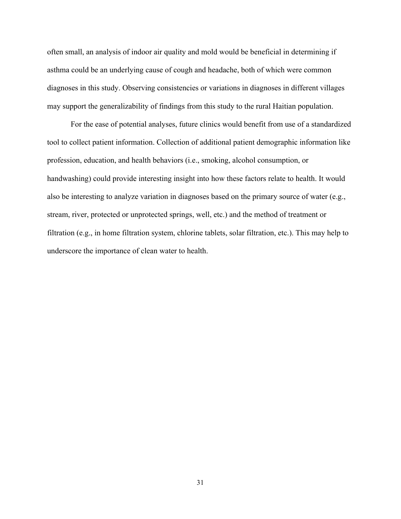often small, an analysis of indoor air quality and mold would be beneficial in determining if asthma could be an underlying cause of cough and headache, both of which were common diagnoses in this study. Observing consistencies or variations in diagnoses in different villages may support the generalizability of findings from this study to the rural Haitian population.

For the ease of potential analyses, future clinics would benefit from use of a standardized tool to collect patient information. Collection of additional patient demographic information like profession, education, and health behaviors (i.e., smoking, alcohol consumption, or handwashing) could provide interesting insight into how these factors relate to health. It would also be interesting to analyze variation in diagnoses based on the primary source of water (e.g., stream, river, protected or unprotected springs, well, etc.) and the method of treatment or filtration (e.g., in home filtration system, chlorine tablets, solar filtration, etc.). This may help to underscore the importance of clean water to health.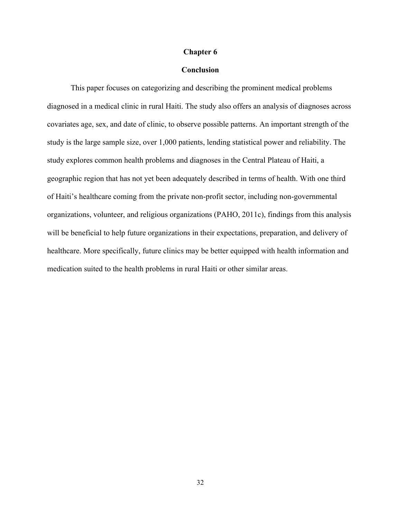#### **Chapter 6**

### **Conclusion**

This paper focuses on categorizing and describing the prominent medical problems diagnosed in a medical clinic in rural Haiti. The study also offers an analysis of diagnoses across covariates age, sex, and date of clinic, to observe possible patterns. An important strength of the study is the large sample size, over 1,000 patients, lending statistical power and reliability. The study explores common health problems and diagnoses in the Central Plateau of Haiti, a geographic region that has not yet been adequately described in terms of health. With one third of Haiti's healthcare coming from the private non-profit sector, including non-governmental organizations, volunteer, and religious organizations (PAHO, 2011c), findings from this analysis will be beneficial to help future organizations in their expectations, preparation, and delivery of healthcare. More specifically, future clinics may be better equipped with health information and medication suited to the health problems in rural Haiti or other similar areas.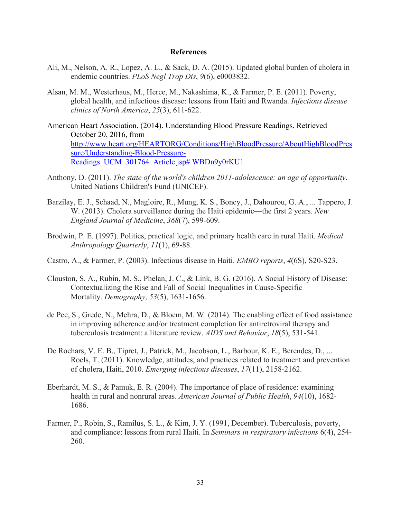#### **References**

- Ali, M., Nelson, A. R., Lopez, A. L., & Sack, D. A. (2015). Updated global burden of cholera in endemic countries. *PLoS Negl Trop Dis*, *9*(6), e0003832.
- Alsan, M. M., Westerhaus, M., Herce, M., Nakashima, K., & Farmer, P. E. (2011). Poverty, global health, and infectious disease: lessons from Haiti and Rwanda. *Infectious disease clinics of North America*, *25*(3), 611-622.
- American Heart Association. (2014). Understanding Blood Pressure Readings. Retrieved October 20, 2016, from http://www.heart.org/HEARTORG/Conditions/HighBloodPressure/AboutHighBloodPres sure/Understanding-Blood-Pressure-Readings\_UCM\_301764\_Article.jsp#.WBDn9y0rKU1
- Anthony, D. (2011). *The state of the world's children 2011-adolescence: an age of opportunity*. United Nations Children's Fund (UNICEF).
- Barzilay, E. J., Schaad, N., Magloire, R., Mung, K. S., Boncy, J., Dahourou, G. A., ... Tappero, J. W. (2013). Cholera surveillance during the Haiti epidemic—the first 2 years. *New England Journal of Medicine*, *368*(7), 599-609.
- Brodwin, P. E. (1997). Politics, practical logic, and primary health care in rural Haiti. *Medical Anthropology Quarterly*, *11*(1), 69-88.
- Castro, A., & Farmer, P. (2003). Infectious disease in Haiti. *EMBO reports*, *4*(6S), S20-S23.
- Clouston, S. A., Rubin, M. S., Phelan, J. C., & Link, B. G. (2016). A Social History of Disease: Contextualizing the Rise and Fall of Social Inequalities in Cause-Specific Mortality. *Demography*, *53*(5), 1631-1656.
- de Pee, S., Grede, N., Mehra, D., & Bloem, M. W. (2014). The enabling effect of food assistance in improving adherence and/or treatment completion for antiretroviral therapy and tuberculosis treatment: a literature review. *AIDS and Behavior*, *18*(5), 531-541.
- De Rochars, V. E. B., Tipret, J., Patrick, M., Jacobson, L., Barbour, K. E., Berendes, D., ... Roels, T. (2011). Knowledge, attitudes, and practices related to treatment and prevention of cholera, Haiti, 2010. *Emerging infectious diseases*, *17*(11), 2158-2162.
- Eberhardt, M. S., & Pamuk, E. R. (2004). The importance of place of residence: examining health in rural and nonrural areas. *American Journal of Public Health*, *94*(10), 1682- 1686.
- Farmer, P., Robin, S., Ramilus, S. L., & Kim, J. Y. (1991, December). Tuberculosis, poverty, and compliance: lessons from rural Haiti. In *Seminars in respiratory infections* 6(4), 254- 260.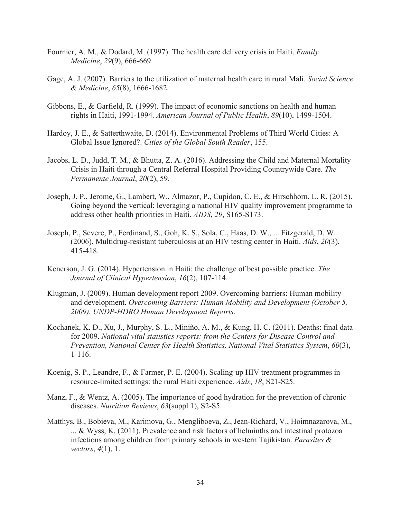- Fournier, A. M., & Dodard, M. (1997). The health care delivery crisis in Haiti. *Family Medicine*, *29*(9), 666-669.
- Gage, A. J. (2007). Barriers to the utilization of maternal health care in rural Mali. *Social Science & Medicine*, *65*(8), 1666-1682.
- Gibbons, E., & Garfield, R. (1999). The impact of economic sanctions on health and human rights in Haiti, 1991-1994. *American Journal of Public Health*, *89*(10), 1499-1504.
- Hardoy, J. E., & Satterthwaite, D. (2014). Environmental Problems of Third World Cities: A Global Issue Ignored?. *Cities of the Global South Reader*, 155.
- Jacobs, L. D., Judd, T. M., & Bhutta, Z. A. (2016). Addressing the Child and Maternal Mortality Crisis in Haiti through a Central Referral Hospital Providing Countrywide Care. *The Permanente Journal*, *20*(2), 59.
- Joseph, J. P., Jerome, G., Lambert, W., Almazor, P., Cupidon, C. E., & Hirschhorn, L. R. (2015). Going beyond the vertical: leveraging a national HIV quality improvement programme to address other health priorities in Haiti. *AIDS*, *29*, S165-S173.
- Joseph, P., Severe, P., Ferdinand, S., Goh, K. S., Sola, C., Haas, D. W., ... Fitzgerald, D. W. (2006). Multidrug-resistant tuberculosis at an HIV testing center in Haiti. *Aids*, *20*(3), 415-418.
- Kenerson, J. G. (2014). Hypertension in Haiti: the challenge of best possible practice. *The Journal of Clinical Hypertension*, *16*(2), 107-114.
- Klugman, J. (2009). Human development report 2009. Overcoming barriers: Human mobility and development. *Overcoming Barriers: Human Mobility and Development (October 5, 2009). UNDP-HDRO Human Development Reports*.
- Kochanek, K. D., Xu, J., Murphy, S. L., Miniño, A. M., & Kung, H. C. (2011). Deaths: final data for 2009. *National vital statistics reports: from the Centers for Disease Control and Prevention, National Center for Health Statistics, National Vital Statistics System*, *60*(3), 1-116.
- Koenig, S. P., Leandre, F., & Farmer, P. E. (2004). Scaling-up HIV treatment programmes in resource-limited settings: the rural Haiti experience. *Aids*, *18*, S21-S25.
- Manz, F., & Wentz, A. (2005). The importance of good hydration for the prevention of chronic diseases. *Nutrition Reviews*, *63*(suppl 1), S2-S5.
- Matthys, B., Bobieva, M., Karimova, G., Mengliboeva, Z., Jean-Richard, V., Hoimnazarova, M., ... & Wyss, K. (2011). Prevalence and risk factors of helminths and intestinal protozoa infections among children from primary schools in western Tajikistan. *Parasites & vectors*, *4*(1), 1.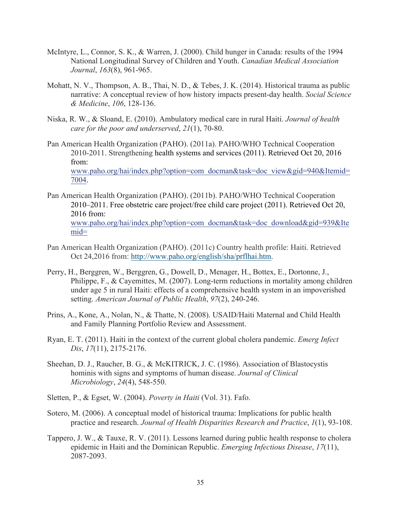- McIntyre, L., Connor, S. K., & Warren, J. (2000). Child hunger in Canada: results of the 1994 National Longitudinal Survey of Children and Youth. *Canadian Medical Association Journal*, *163*(8), 961-965.
- Mohatt, N. V., Thompson, A. B., Thai, N. D., & Tebes, J. K. (2014). Historical trauma as public narrative: A conceptual review of how history impacts present-day health. *Social Science & Medicine*, *106*, 128-136.
- Niska, R. W., & Sloand, E. (2010). Ambulatory medical care in rural Haiti. *Journal of health care for the poor and underserved*, *21*(1), 70-80.
- Pan American Health Organization (PAHO). (2011a). PAHO/WHO Technical Cooperation 2010-2011. Strengthening health systems and services (2011). Retrieved Oct 20, 2016 from: www.paho.org/hai/index.php?option=com\_docman&task=doc\_view&gid=940&Itemid= 7004.
- Pan American Health Organization (PAHO). (2011b). PAHO/WHO Technical Cooperation 2010–2011. Free obstetric care project/free child care project (2011). Retrieved Oct 20, 2016 from: www.paho.org/hai/index.php?option=com\_docman&task=doc\_download&gid=939&Ite mid=
- Pan American Health Organization (PAHO). (2011c) Country health profile: Haiti. Retrieved Oct 24,2016 from: http://www.paho.org/english/sha/prflhai.htm.
- Perry, H., Berggren, W., Berggren, G., Dowell, D., Menager, H., Bottex, E., Dortonne, J., Philippe, F., & Cayemittes, M. (2007). Long-term reductions in mortality among children under age 5 in rural Haiti: effects of a comprehensive health system in an impoverished setting. *American Journal of Public Health*, *97*(2), 240-246.
- Prins, A., Kone, A., Nolan, N., & Thatte, N. (2008). USAID/Haiti Maternal and Child Health and Family Planning Portfolio Review and Assessment.
- Ryan, E. T. (2011). Haiti in the context of the current global cholera pandemic. *Emerg Infect Dis*, *17*(11), 2175-2176.
- Sheehan, D. J., Raucher, B. G., & McKITRICK, J. C. (1986). Association of Blastocystis hominis with signs and symptoms of human disease. *Journal of Clinical Microbiology*, *24*(4), 548-550.
- Sletten, P., & Egset, W. (2004). *Poverty in Haiti* (Vol. 31). Fafo.
- Sotero, M. (2006). A conceptual model of historical trauma: Implications for public health practice and research. *Journal of Health Disparities Research and Practice*, *1*(1), 93-108.
- Tappero, J. W., & Tauxe, R. V. (2011). Lessons learned during public health response to cholera epidemic in Haiti and the Dominican Republic. *Emerging Infectious Disease*, *17*(11), 2087-2093.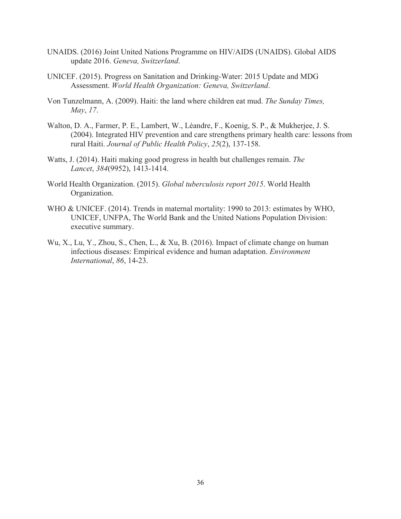- UNAIDS. (2016) Joint United Nations Programme on HIV/AIDS (UNAIDS). Global AIDS update 2016. *Geneva, Switzerland*.
- UNICEF. (2015). Progress on Sanitation and Drinking-Water: 2015 Update and MDG Assessment. *World Health Organization: Geneva, Switzerland*.
- Von Tunzelmann, A. (2009). Haiti: the land where children eat mud. *The Sunday Times, May*, *17*.
- Walton, D. A., Farmer, P. E., Lambert, W., Léandre, F., Koenig, S. P., & Mukherjee, J. S. (2004). Integrated HIV prevention and care strengthens primary health care: lessons from rural Haiti. *Journal of Public Health Policy*, *25*(2), 137-158.
- Watts, J. (2014). Haiti making good progress in health but challenges remain. *The Lancet*, *384*(9952), 1413-1414.
- World Health Organization. (2015). *Global tuberculosis report 2015*. World Health Organization.
- WHO & UNICEF. (2014). Trends in maternal mortality: 1990 to 2013: estimates by WHO, UNICEF, UNFPA, The World Bank and the United Nations Population Division: executive summary.
- Wu, X., Lu, Y., Zhou, S., Chen, L., & Xu, B. (2016). Impact of climate change on human infectious diseases: Empirical evidence and human adaptation. *Environment International*, *86*, 14-23.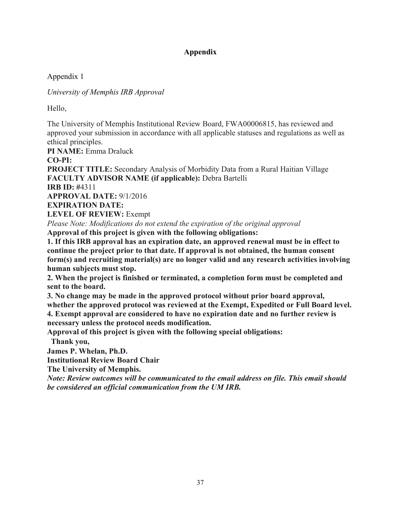Appendix 1

*University of Memphis IRB Approval*

Hello,

The University of Memphis Institutional Review Board, FWA00006815, has reviewed and approved your submission in accordance with all applicable statuses and regulations as well as ethical principles.

**PI NAME:** Emma Draluck **CO-PI: PROJECT TITLE:** Secondary Analysis of Morbidity Data from a Rural Haitian Village **FACULTY ADVISOR NAME (if applicable):** Debra Bartelli **IRB ID: #**4311 **APPROVAL DATE:** 9/1/2016 **EXPIRATION DATE: LEVEL OF REVIEW:** Exempt

*Please Note: Modifications do not extend the expiration of the original approval* **Approval of this project is given with the following obligations:**

**1. If this IRB approval has an expiration date, an approved renewal must be in effect to continue the project prior to that date. If approval is not obtained, the human consent form(s) and recruiting material(s) are no longer valid and any research activities involving human subjects must stop.**

**2. When the project is finished or terminated, a completion form must be completed and sent to the board.**

**3. No change may be made in the approved protocol without prior board approval, whether the approved protocol was reviewed at the Exempt, Expedited or Full Board level. 4. Exempt approval are considered to have no expiration date and no further review is** 

**necessary unless the protocol needs modification.**

**Approval of this project is given with the following special obligations:**

**Thank you,**

**James P. Whelan, Ph.D.**

**Institutional Review Board Chair**

**The University of Memphis.**

*Note: Review outcomes will be communicated to the email address on file. This email should be considered an official communication from the UM IRB.*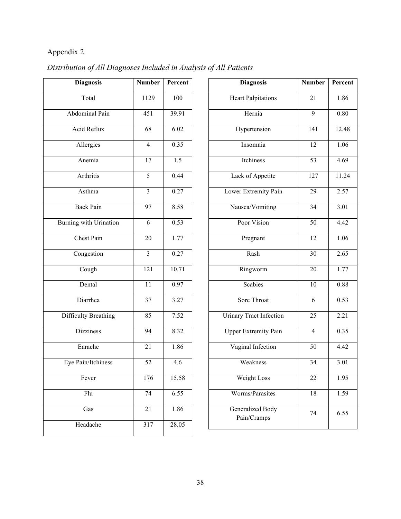| <b>Diagnosis</b>              | <b>Number</b>           | Percent          |
|-------------------------------|-------------------------|------------------|
| Total                         | 1129                    | 100              |
| Abdominal Pain                | $\overline{451}$        | 39.91            |
| Acid Reflux                   | 68                      | 6.02             |
| Allergies                     | $\overline{4}$          | 0.35             |
| Anemia                        | 17                      | $\overline{1.5}$ |
| Arthritis                     | 5                       | 0.44             |
| Asthma                        | $\overline{3}$          | 0.27             |
| <b>Back Pain</b>              | 97                      | 8.58             |
| <b>Burning with Urination</b> | 6                       | 0.53             |
| <b>Chest Pain</b>             | 20                      | 1.77             |
| Congestion                    | $\overline{\mathbf{3}}$ | 0.27             |
| Cough                         | $\overline{121}$        | 10.71            |
| Dental                        | $\overline{11}$         | 0.97             |
| Diarrhea                      | 37                      | 3.27             |
| <b>Difficulty Breathing</b>   | 85                      | 7.52             |
| <b>Dizziness</b>              | 94                      | 8.32             |
| Earache                       | 21                      | 1.86             |
| Eye Pain/Itchiness            | 52                      | 4.6              |
| Fever                         | 176                     | 15.58            |
| Flu                           | 74                      | 6.55             |
| Gas                           | 21                      | 1.86             |
| Headache                      | 317                     | 28.05            |

# *Distribution of All Diagnoses Included in Analysis of All Patients*

| <b>Diagnosis</b>                | <b>Number</b>   | Percent |
|---------------------------------|-----------------|---------|
|                                 |                 |         |
| <b>Heart Palpitations</b>       | 21              | 1.86    |
| Hernia                          | 9               | 0.80    |
| Hypertension                    | 141             | 12.48   |
| Insomnia                        | 12              | 1.06    |
| Itchiness                       | 53              | 4.69    |
| Lack of Appetite                | 127             | 11.24   |
| Lower Extremity Pain            | 29              | 2.57    |
| Nausea/Vomiting                 | $\overline{34}$ | 3.01    |
| Poor Vision                     | 50              | 4.42    |
| Pregnant                        | 12              | 1.06    |
| Rash                            | 30              | 2.65    |
| Ringworm                        | 20              | 1.77    |
| <b>Scabies</b>                  | 10              | 0.88    |
| Sore Throat                     | 6               | 0.53    |
| <b>Urinary Tract Infection</b>  | 25              | 2.21    |
| <b>Upper Extremity Pain</b>     | $\overline{4}$  | 0.35    |
| Vaginal Infection               | 50              | 4.42    |
| Weakness                        | 34              | 3.01    |
| Weight Loss                     | 22              | 1.95    |
| Worms/Parasites                 | 18              | 1.59    |
| Generalized Body<br>Pain/Cramps | 74              | 6.55    |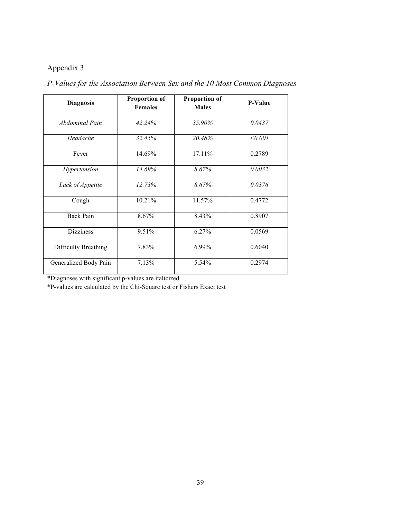| <b>Diagnosis</b>      | <b>Proportion of</b><br><b>Females</b> | <b>Proportion of</b><br><b>Males</b> | <b>P-Value</b> |
|-----------------------|----------------------------------------|--------------------------------------|----------------|
| Abdominal Pain        | 42.24%                                 | 35.90%                               | 0.0437         |
| Headache              | 32.45%                                 | 20.48%                               | < 0.001        |
| Fever                 | 14.69%                                 | 17.11%                               | 0.2789         |
| Hypertension          | 14.69%                                 | 8.67%                                | 0.0032         |
| Lack of Appetite      | 12.73%                                 | 8.67%                                | 0.0376         |
| Cough                 | 10.21%                                 | 11.57%                               | 0.4772         |
| <b>Back Pain</b>      | 8.67%                                  | 8.43%                                | 0.8907         |
| <b>Dizziness</b>      | 9.51%                                  | 6.27%                                | 0.0569         |
| Difficulty Breathing  | 7.83%                                  | 6.99%                                | 0.6040         |
| Generalized Body Pain | 7.13%                                  | 5.54%                                | 0.2974         |

*P-Values for the Association Between Sex and the 10 Most Common Diagnoses*

\*Diagnoses with significant p-values are italicized

\*P-values are calculated by the Chi-Square test or Fishers Exact test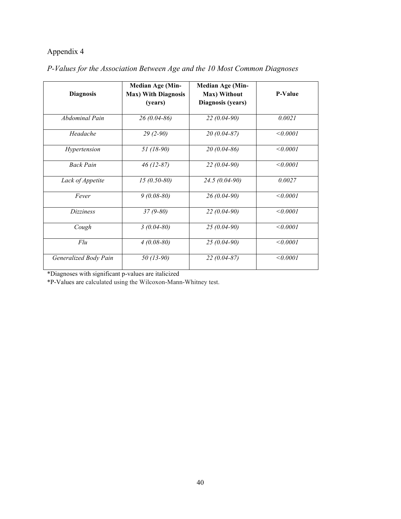| <b>Diagnosis</b>      | <b>Median Age (Min-</b><br><b>Max) With Diagnosis</b><br>(years) | <b>Median Age (Min-</b><br>Max) Without<br>Diagnosis (years) | <b>P-Value</b> |
|-----------------------|------------------------------------------------------------------|--------------------------------------------------------------|----------------|
| Abdominal Pain        | $26(0.04-86)$                                                    | $22(0.04-90)$                                                | 0.0021         |
| Headache              | $29(2-90)$                                                       | $20(0.04 - 87)$                                              | < 0.0001       |
| Hypertension          | $51(18-90)$                                                      | $20(0.04-86)$                                                | < 0.0001       |
| <b>Back Pain</b>      | $46(12-87)$                                                      | $22(0.04-90)$                                                | $\le 0.0001$   |
| Lack of Appetite      | $15(0.50-80)$                                                    | $24.5(0.04-90)$                                              | 0.0027         |
| Fever                 | $9(0.08-80)$                                                     | $26(0.04-90)$                                                | < 0.0001       |
| <i>Dizziness</i>      | 37 (9-80)                                                        | $22(0.04-90)$                                                | < 0.0001       |
| Cough                 | $3(0.04 - 80)$                                                   | $25(0.04-90)$                                                | < 0.0001       |
| Flu                   | $4(0.08-80)$                                                     | $25(0.04-90)$                                                | < 0.0001       |
| Generalized Body Pain | 50 (13-90)                                                       | $22(0.04 - 87)$                                              | < 0.0001       |

## *P-Values for the Association Between Age and the 10 Most Common Diagnoses*

\*Diagnoses with significant p-values are italicized

\*P-Values are calculated using the Wilcoxon-Mann-Whitney test.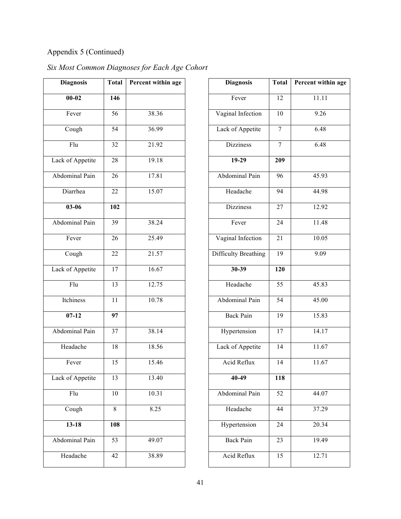# Appendix 5 (Continued)

| <b>Diagnosis</b> | <b>Total</b>    | Percent within age |
|------------------|-----------------|--------------------|
| $00 - 02$        | 146             |                    |
| Fever            | 56              | 38.36              |
| Cough            | $\overline{54}$ | 36.99              |
| Flu              | 32              | 21.92              |
| Lack of Appetite | 28              | 19.18              |
| Abdominal Pain   | 26              | 17.81              |
| Diarrhea         | 22              | 15.07              |
| $03 - 06$        | 102             |                    |
| Abdominal Pain   | 39              | 38.24              |
| Fever            | $\overline{26}$ | 25.49              |
| Cough            | 22              | 21.57              |
| Lack of Appetite | 17              | 16.67              |
| Flu              | 13              | 12.75              |
| Itchiness        | $\overline{11}$ | 10.78              |
| $07-12$          | $\overline{97}$ |                    |
| Abdominal Pain   | 37              | 38.14              |
| Headache         | 18              | 18.56              |
| Fever            | 15              | 15.46              |
| Lack of Appetite | 13              | 13.40              |
| Flu              | 10              | 10.31              |
| Cough            | 8               | 8.25               |
| $13 - 18$        | 108             |                    |
| Abdominal Pain   | 53              | 49.07              |
| Headache         | 42              | 38.89              |

| Six Most Common Diagnoses for Each Age Cohort |  |  |  |
|-----------------------------------------------|--|--|--|
|-----------------------------------------------|--|--|--|

| <b>Diagnosis</b>            | Total           | Percent within age  |
|-----------------------------|-----------------|---------------------|
| Fever                       | 12              | 11.11               |
| Vaginal Infection           | 10              | $\frac{9.26}{9.26}$ |
| Lack of Appetite            | 7               | 6.48                |
| <b>Dizziness</b>            | 7               | 6.48                |
| $19-29$                     | 209             |                     |
| <b>Abdominal Pain</b>       | 96              | 45.93               |
| Headache                    | 94              | 44.98               |
| <b>Dizziness</b>            | 27              | 12.92               |
| Fever                       | 24              | 11.48               |
| Vaginal Infection           | 21              | 10.05               |
| <b>Difficulty Breathing</b> | 19              | 9.09                |
| 30-39                       | 120             |                     |
| Headache                    | 55              | 45.83               |
| <b>Abdominal Pain</b>       | 54              | 45.00               |
| <b>Back Pain</b>            | 19              | 15.83               |
| Hypertension                | 17              | 14.17               |
| Lack of Appetite            | 14              | 11.67               |
| Acid Reflux                 | $\overline{14}$ | 11.67               |
| 40-49                       | 118             |                     |
| Abdominal Pain              | 52              | 44.07               |
| Headache                    | 44              | 37.29               |
| Hypertension                | 24              | 20.34               |
| <b>Back Pain</b>            | 23              | 19.49               |
| Acid Reflux                 | 15              | 12.71               |